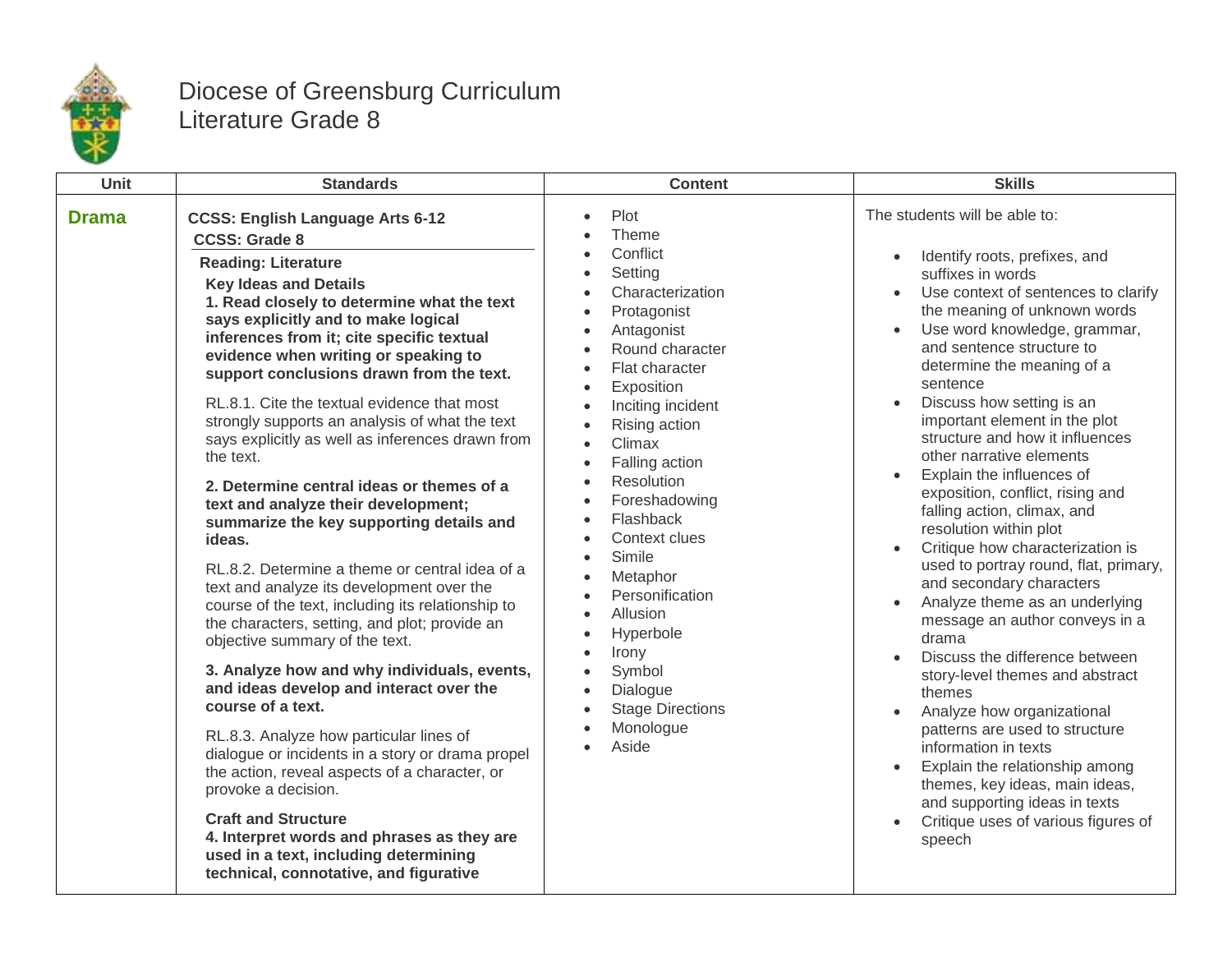

## Diocese of Greensburg Curriculum Literature Grade 8

| <b>Unit</b>  | <b>Standards</b>                                                                                                                                                                                                                                                                                                                                                                                                                                                                                                                                                                                                                                                                                                                                                                                                                                                                                                                                                                                                                                                                                                                                                                                                                                                                                                                                            | <b>Content</b>                                                                                                                                                                                                                                                                                                                                                                                                                                                                             | <b>Skills</b>                                                                                                                                                                                                                                                                                                                                                                                                                                                                                                                                                                                                                                                                                                                                                                                                                                                                                                                                                                                                                                                                                                |
|--------------|-------------------------------------------------------------------------------------------------------------------------------------------------------------------------------------------------------------------------------------------------------------------------------------------------------------------------------------------------------------------------------------------------------------------------------------------------------------------------------------------------------------------------------------------------------------------------------------------------------------------------------------------------------------------------------------------------------------------------------------------------------------------------------------------------------------------------------------------------------------------------------------------------------------------------------------------------------------------------------------------------------------------------------------------------------------------------------------------------------------------------------------------------------------------------------------------------------------------------------------------------------------------------------------------------------------------------------------------------------------|--------------------------------------------------------------------------------------------------------------------------------------------------------------------------------------------------------------------------------------------------------------------------------------------------------------------------------------------------------------------------------------------------------------------------------------------------------------------------------------------|--------------------------------------------------------------------------------------------------------------------------------------------------------------------------------------------------------------------------------------------------------------------------------------------------------------------------------------------------------------------------------------------------------------------------------------------------------------------------------------------------------------------------------------------------------------------------------------------------------------------------------------------------------------------------------------------------------------------------------------------------------------------------------------------------------------------------------------------------------------------------------------------------------------------------------------------------------------------------------------------------------------------------------------------------------------------------------------------------------------|
| <b>Drama</b> | <b>CCSS: English Language Arts 6-12</b><br><b>CCSS: Grade 8</b><br><b>Reading: Literature</b><br><b>Key Ideas and Details</b><br>1. Read closely to determine what the text<br>says explicitly and to make logical<br>inferences from it; cite specific textual<br>evidence when writing or speaking to<br>support conclusions drawn from the text.<br>RL.8.1. Cite the textual evidence that most<br>strongly supports an analysis of what the text<br>says explicitly as well as inferences drawn from<br>the text.<br>2. Determine central ideas or themes of a<br>text and analyze their development;<br>summarize the key supporting details and<br>ideas.<br>RL.8.2. Determine a theme or central idea of a<br>text and analyze its development over the<br>course of the text, including its relationship to<br>the characters, setting, and plot; provide an<br>objective summary of the text.<br>3. Analyze how and why individuals, events,<br>and ideas develop and interact over the<br>course of a text.<br>RL.8.3. Analyze how particular lines of<br>dialogue or incidents in a story or drama propel<br>the action, reveal aspects of a character, or<br>provoke a decision.<br><b>Craft and Structure</b><br>4. Interpret words and phrases as they are<br>used in a text, including determining<br>technical, connotative, and figurative | Plot<br>Theme<br>Conflict<br>Setting<br>Characterization<br>Protagonist<br>Antagonist<br>Round character<br>$\bullet$<br>Flat character<br>$\bullet$<br>Exposition<br>$\bullet$<br>Inciting incident<br>Rising action<br>Climax<br>Falling action<br>Resolution<br>Foreshadowing<br>Flashback<br>Context clues<br>Simile<br>Metaphor<br>Personification<br>Allusion<br>Hyperbole<br>Irony<br>Symbol<br>$\bullet$<br>Dialogue<br><b>Stage Directions</b><br>$\bullet$<br>Monologue<br>Aside | The students will be able to:<br>Identify roots, prefixes, and<br>$\bullet$<br>suffixes in words<br>Use context of sentences to clarify<br>the meaning of unknown words<br>Use word knowledge, grammar,<br>$\bullet$<br>and sentence structure to<br>determine the meaning of a<br>sentence<br>Discuss how setting is an<br>$\bullet$<br>important element in the plot<br>structure and how it influences<br>other narrative elements<br>Explain the influences of<br>exposition, conflict, rising and<br>falling action, climax, and<br>resolution within plot<br>Critique how characterization is<br>used to portray round, flat, primary,<br>and secondary characters<br>Analyze theme as an underlying<br>$\bullet$<br>message an author conveys in a<br>drama<br>Discuss the difference between<br>story-level themes and abstract<br>themes<br>Analyze how organizational<br>patterns are used to structure<br>information in texts<br>Explain the relationship among<br>themes, key ideas, main ideas,<br>and supporting ideas in texts<br>Critique uses of various figures of<br>$\bullet$<br>speech |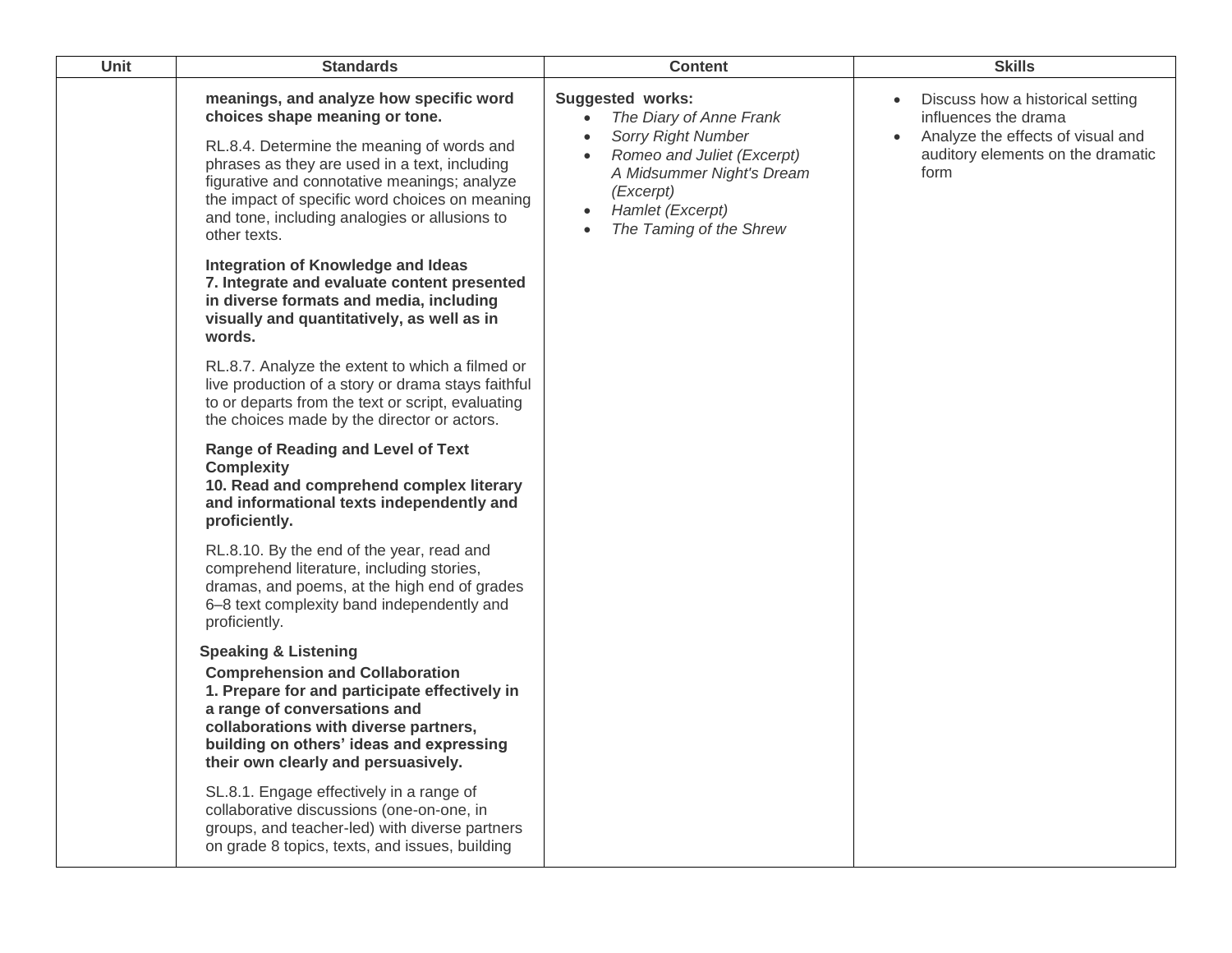| Unit | <b>Standards</b>                                                                                                                                                                                                                                                                                                                            | <b>Content</b>                                                                                                                                                                                                                                             | <b>Skills</b>                                                                                                                              |
|------|---------------------------------------------------------------------------------------------------------------------------------------------------------------------------------------------------------------------------------------------------------------------------------------------------------------------------------------------|------------------------------------------------------------------------------------------------------------------------------------------------------------------------------------------------------------------------------------------------------------|--------------------------------------------------------------------------------------------------------------------------------------------|
|      | meanings, and analyze how specific word<br>choices shape meaning or tone.<br>RL.8.4. Determine the meaning of words and<br>phrases as they are used in a text, including<br>figurative and connotative meanings; analyze<br>the impact of specific word choices on meaning<br>and tone, including analogies or allusions to<br>other texts. | <b>Suggested works:</b><br>The Diary of Anne Frank<br>$\bullet$<br><b>Sorry Right Number</b><br>$\bullet$<br>Romeo and Juliet (Excerpt)<br>$\bullet$<br>A Midsummer Night's Dream<br>(Excerpt)<br>Hamlet (Excerpt)<br>$\bullet$<br>The Taming of the Shrew | Discuss how a historical setting<br>influences the drama<br>Analyze the effects of visual and<br>auditory elements on the dramatic<br>form |
|      | Integration of Knowledge and Ideas<br>7. Integrate and evaluate content presented<br>in diverse formats and media, including<br>visually and quantitatively, as well as in<br>words.                                                                                                                                                        |                                                                                                                                                                                                                                                            |                                                                                                                                            |
|      | RL.8.7. Analyze the extent to which a filmed or<br>live production of a story or drama stays faithful<br>to or departs from the text or script, evaluating<br>the choices made by the director or actors.                                                                                                                                   |                                                                                                                                                                                                                                                            |                                                                                                                                            |
|      | Range of Reading and Level of Text<br><b>Complexity</b><br>10. Read and comprehend complex literary<br>and informational texts independently and<br>proficiently.                                                                                                                                                                           |                                                                                                                                                                                                                                                            |                                                                                                                                            |
|      | RL.8.10. By the end of the year, read and<br>comprehend literature, including stories,<br>dramas, and poems, at the high end of grades<br>6-8 text complexity band independently and<br>proficiently.                                                                                                                                       |                                                                                                                                                                                                                                                            |                                                                                                                                            |
|      | <b>Speaking &amp; Listening</b><br><b>Comprehension and Collaboration</b><br>1. Prepare for and participate effectively in<br>a range of conversations and<br>collaborations with diverse partners,<br>building on others' ideas and expressing<br>their own clearly and persuasively.                                                      |                                                                                                                                                                                                                                                            |                                                                                                                                            |
|      | SL.8.1. Engage effectively in a range of<br>collaborative discussions (one-on-one, in<br>groups, and teacher-led) with diverse partners<br>on grade 8 topics, texts, and issues, building                                                                                                                                                   |                                                                                                                                                                                                                                                            |                                                                                                                                            |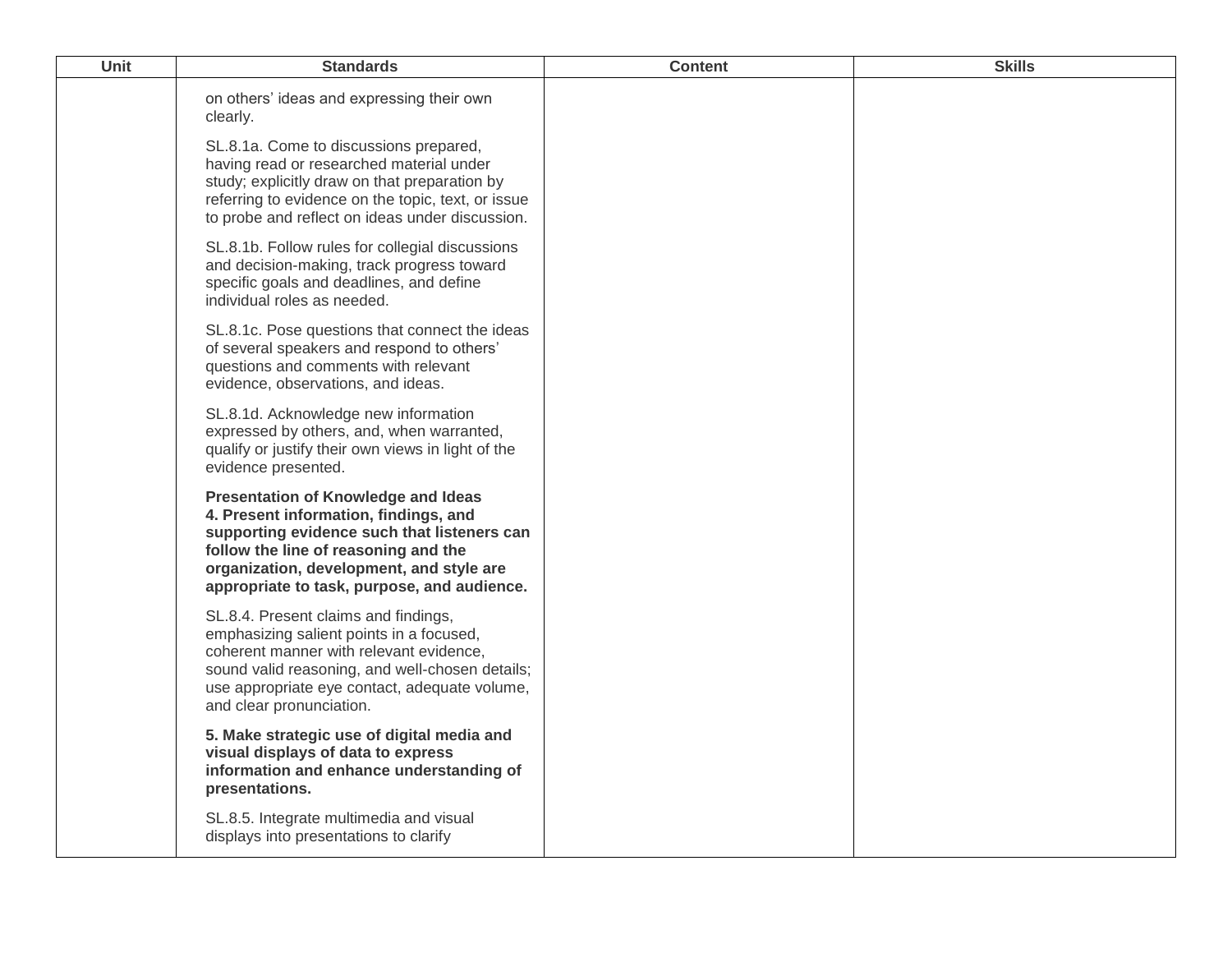| Unit | <b>Standards</b>                                                                                                                                                                                                                                                      | <b>Content</b> | <b>Skills</b> |
|------|-----------------------------------------------------------------------------------------------------------------------------------------------------------------------------------------------------------------------------------------------------------------------|----------------|---------------|
|      | on others' ideas and expressing their own<br>clearly.                                                                                                                                                                                                                 |                |               |
|      | SL.8.1a. Come to discussions prepared,<br>having read or researched material under<br>study; explicitly draw on that preparation by<br>referring to evidence on the topic, text, or issue<br>to probe and reflect on ideas under discussion.                          |                |               |
|      | SL.8.1b. Follow rules for collegial discussions<br>and decision-making, track progress toward<br>specific goals and deadlines, and define<br>individual roles as needed.                                                                                              |                |               |
|      | SL.8.1c. Pose questions that connect the ideas<br>of several speakers and respond to others'<br>questions and comments with relevant<br>evidence, observations, and ideas.                                                                                            |                |               |
|      | SL.8.1d. Acknowledge new information<br>expressed by others, and, when warranted,<br>qualify or justify their own views in light of the<br>evidence presented.                                                                                                        |                |               |
|      | <b>Presentation of Knowledge and Ideas</b><br>4. Present information, findings, and<br>supporting evidence such that listeners can<br>follow the line of reasoning and the<br>organization, development, and style are<br>appropriate to task, purpose, and audience. |                |               |
|      | SL.8.4. Present claims and findings,<br>emphasizing salient points in a focused,<br>coherent manner with relevant evidence,<br>sound valid reasoning, and well-chosen details;<br>use appropriate eye contact, adequate volume,<br>and clear pronunciation.           |                |               |
|      | 5. Make strategic use of digital media and<br>visual displays of data to express<br>information and enhance understanding of<br>presentations.                                                                                                                        |                |               |
|      | SL.8.5. Integrate multimedia and visual<br>displays into presentations to clarify                                                                                                                                                                                     |                |               |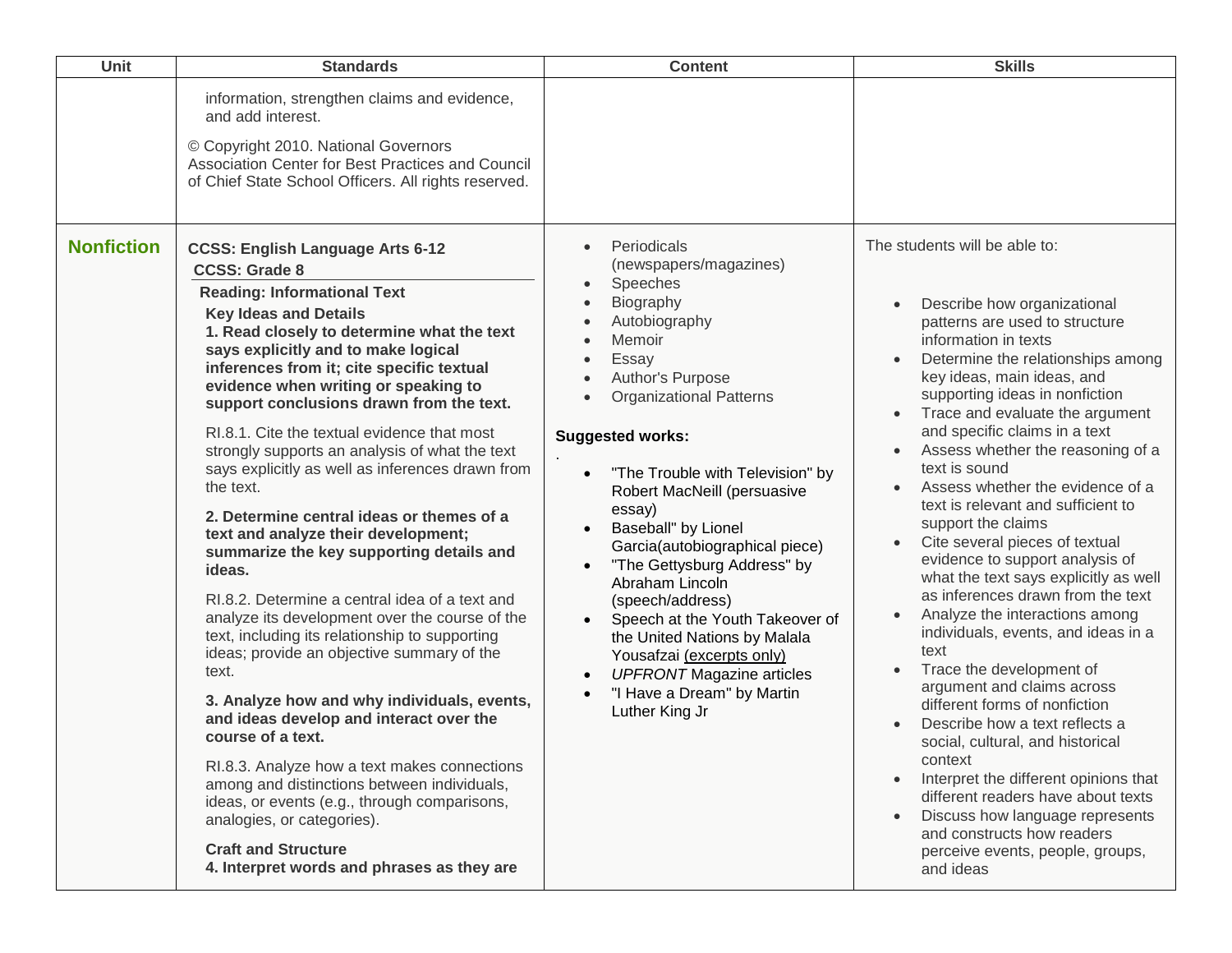| Unit              | <b>Standards</b>                                                                                                                                                                                                                                                                                                                                                                                                                                                                                                                                                                                                                                                                                                                                                                                                                                                                                                                                                                                                                                                                                                                                                                                                                                             | <b>Content</b>                                                                                                                                                                                                                                                                                                                                                                                                                                                                                                                                                                                                                                                                                                                     | <b>Skills</b>                                                                                                                                                                                                                                                                                                                                                                                                                                                                                                                                                                                                                                                                                                                                                                                                                                                                                                                                                                                                                                                                                                 |
|-------------------|--------------------------------------------------------------------------------------------------------------------------------------------------------------------------------------------------------------------------------------------------------------------------------------------------------------------------------------------------------------------------------------------------------------------------------------------------------------------------------------------------------------------------------------------------------------------------------------------------------------------------------------------------------------------------------------------------------------------------------------------------------------------------------------------------------------------------------------------------------------------------------------------------------------------------------------------------------------------------------------------------------------------------------------------------------------------------------------------------------------------------------------------------------------------------------------------------------------------------------------------------------------|------------------------------------------------------------------------------------------------------------------------------------------------------------------------------------------------------------------------------------------------------------------------------------------------------------------------------------------------------------------------------------------------------------------------------------------------------------------------------------------------------------------------------------------------------------------------------------------------------------------------------------------------------------------------------------------------------------------------------------|---------------------------------------------------------------------------------------------------------------------------------------------------------------------------------------------------------------------------------------------------------------------------------------------------------------------------------------------------------------------------------------------------------------------------------------------------------------------------------------------------------------------------------------------------------------------------------------------------------------------------------------------------------------------------------------------------------------------------------------------------------------------------------------------------------------------------------------------------------------------------------------------------------------------------------------------------------------------------------------------------------------------------------------------------------------------------------------------------------------|
|                   | information, strengthen claims and evidence,<br>and add interest.<br>© Copyright 2010. National Governors<br>Association Center for Best Practices and Council<br>of Chief State School Officers. All rights reserved.                                                                                                                                                                                                                                                                                                                                                                                                                                                                                                                                                                                                                                                                                                                                                                                                                                                                                                                                                                                                                                       |                                                                                                                                                                                                                                                                                                                                                                                                                                                                                                                                                                                                                                                                                                                                    |                                                                                                                                                                                                                                                                                                                                                                                                                                                                                                                                                                                                                                                                                                                                                                                                                                                                                                                                                                                                                                                                                                               |
| <b>Nonfiction</b> | <b>CCSS: English Language Arts 6-12</b><br><b>CCSS: Grade 8</b><br><b>Reading: Informational Text</b><br><b>Key Ideas and Details</b><br>1. Read closely to determine what the text<br>says explicitly and to make logical<br>inferences from it; cite specific textual<br>evidence when writing or speaking to<br>support conclusions drawn from the text.<br>RI.8.1. Cite the textual evidence that most<br>strongly supports an analysis of what the text<br>says explicitly as well as inferences drawn from<br>the text.<br>2. Determine central ideas or themes of a<br>text and analyze their development;<br>summarize the key supporting details and<br>ideas.<br>RI.8.2. Determine a central idea of a text and<br>analyze its development over the course of the<br>text, including its relationship to supporting<br>ideas; provide an objective summary of the<br>text.<br>3. Analyze how and why individuals, events,<br>and ideas develop and interact over the<br>course of a text.<br>RI.8.3. Analyze how a text makes connections<br>among and distinctions between individuals,<br>ideas, or events (e.g., through comparisons,<br>analogies, or categories).<br><b>Craft and Structure</b><br>4. Interpret words and phrases as they are | Periodicals<br>$\bullet$<br>(newspapers/magazines)<br>Speeches<br>$\bullet$<br>Biography<br>$\bullet$<br>Autobiography<br>$\bullet$<br>Memoir<br>$\bullet$<br>Essay<br>$\bullet$<br>Author's Purpose<br>$\bullet$<br><b>Organizational Patterns</b><br>$\bullet$<br><b>Suggested works:</b><br>"The Trouble with Television" by<br>$\bullet$<br>Robert MacNeill (persuasive<br>essay)<br>Baseball" by Lionel<br>Garcia(autobiographical piece)<br>"The Gettysburg Address" by<br>Abraham Lincoln<br>(speech/address)<br>Speech at the Youth Takeover of<br>$\bullet$<br>the United Nations by Malala<br>Yousafzai (excerpts only)<br><b>UPFRONT Magazine articles</b><br>$\bullet$<br>"I Have a Dream" by Martin<br>Luther King Jr | The students will be able to:<br>Describe how organizational<br>patterns are used to structure<br>information in texts<br>Determine the relationships among<br>key ideas, main ideas, and<br>supporting ideas in nonfiction<br>Trace and evaluate the argument<br>$\bullet$<br>and specific claims in a text<br>Assess whether the reasoning of a<br>text is sound<br>Assess whether the evidence of a<br>$\bullet$<br>text is relevant and sufficient to<br>support the claims<br>Cite several pieces of textual<br>$\bullet$<br>evidence to support analysis of<br>what the text says explicitly as well<br>as inferences drawn from the text<br>Analyze the interactions among<br>individuals, events, and ideas in a<br>text<br>Trace the development of<br>argument and claims across<br>different forms of nonfiction<br>Describe how a text reflects a<br>social, cultural, and historical<br>context<br>Interpret the different opinions that<br>different readers have about texts<br>Discuss how language represents<br>and constructs how readers<br>perceive events, people, groups,<br>and ideas |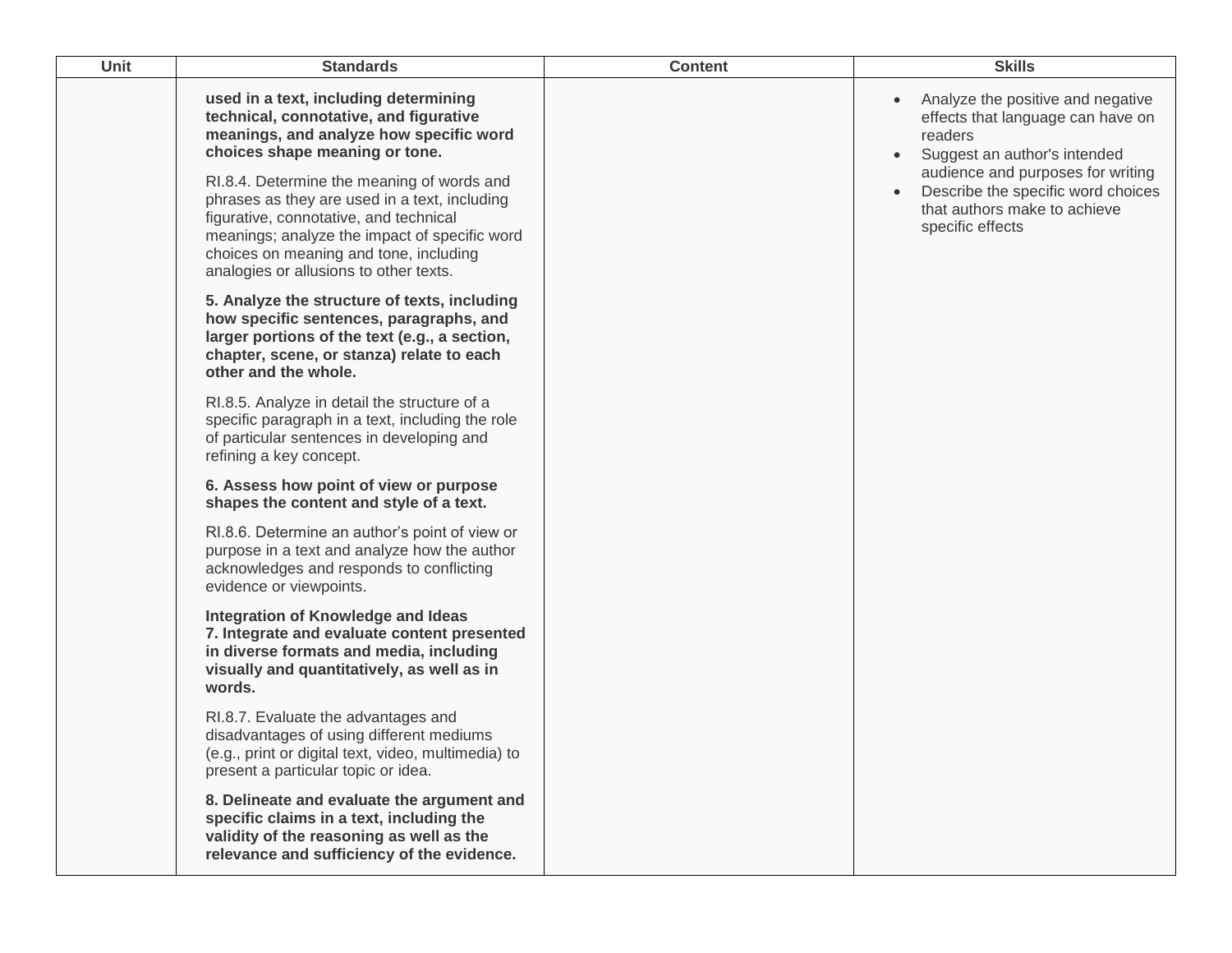| <b>Unit</b> | <b>Standards</b>                                                                                                                                                                                                                                                           | <b>Content</b> | <b>Skills</b>                                                                                                                                          |
|-------------|----------------------------------------------------------------------------------------------------------------------------------------------------------------------------------------------------------------------------------------------------------------------------|----------------|--------------------------------------------------------------------------------------------------------------------------------------------------------|
|             | used in a text, including determining<br>technical, connotative, and figurative<br>meanings, and analyze how specific word<br>choices shape meaning or tone.                                                                                                               |                | Analyze the positive and negative<br>effects that language can have on<br>readers<br>Suggest an author's intended<br>audience and purposes for writing |
|             | RI.8.4. Determine the meaning of words and<br>phrases as they are used in a text, including<br>figurative, connotative, and technical<br>meanings; analyze the impact of specific word<br>choices on meaning and tone, including<br>analogies or allusions to other texts. |                | Describe the specific word choices<br>that authors make to achieve<br>specific effects                                                                 |
|             | 5. Analyze the structure of texts, including<br>how specific sentences, paragraphs, and<br>larger portions of the text (e.g., a section,<br>chapter, scene, or stanza) relate to each<br>other and the whole.                                                              |                |                                                                                                                                                        |
|             | RI.8.5. Analyze in detail the structure of a<br>specific paragraph in a text, including the role<br>of particular sentences in developing and<br>refining a key concept.                                                                                                   |                |                                                                                                                                                        |
|             | 6. Assess how point of view or purpose<br>shapes the content and style of a text.                                                                                                                                                                                          |                |                                                                                                                                                        |
|             | RI.8.6. Determine an author's point of view or<br>purpose in a text and analyze how the author<br>acknowledges and responds to conflicting<br>evidence or viewpoints.                                                                                                      |                |                                                                                                                                                        |
|             | Integration of Knowledge and Ideas<br>7. Integrate and evaluate content presented<br>in diverse formats and media, including<br>visually and quantitatively, as well as in<br>words.                                                                                       |                |                                                                                                                                                        |
|             | RI.8.7. Evaluate the advantages and<br>disadvantages of using different mediums<br>(e.g., print or digital text, video, multimedia) to<br>present a particular topic or idea.                                                                                              |                |                                                                                                                                                        |
|             | 8. Delineate and evaluate the argument and<br>specific claims in a text, including the<br>validity of the reasoning as well as the<br>relevance and sufficiency of the evidence.                                                                                           |                |                                                                                                                                                        |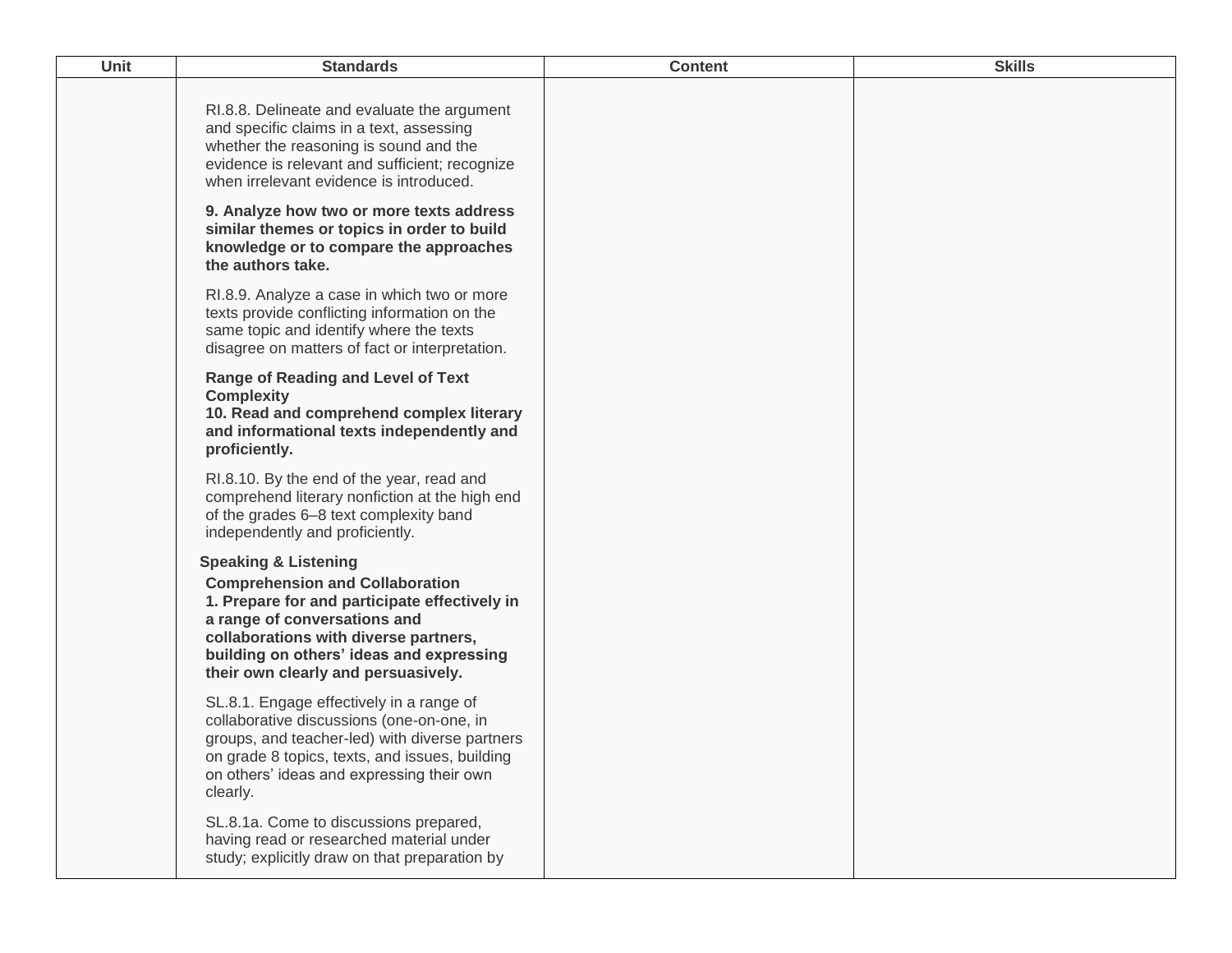| Unit | <b>Standards</b>                                                                                                                                                                                                                                                                       | <b>Content</b> | <b>Skills</b> |
|------|----------------------------------------------------------------------------------------------------------------------------------------------------------------------------------------------------------------------------------------------------------------------------------------|----------------|---------------|
|      | RI.8.8. Delineate and evaluate the argument<br>and specific claims in a text, assessing<br>whether the reasoning is sound and the<br>evidence is relevant and sufficient; recognize<br>when irrelevant evidence is introduced.                                                         |                |               |
|      | 9. Analyze how two or more texts address<br>similar themes or topics in order to build<br>knowledge or to compare the approaches<br>the authors take.                                                                                                                                  |                |               |
|      | RI.8.9. Analyze a case in which two or more<br>texts provide conflicting information on the<br>same topic and identify where the texts<br>disagree on matters of fact or interpretation.                                                                                               |                |               |
|      | <b>Range of Reading and Level of Text</b><br><b>Complexity</b><br>10. Read and comprehend complex literary<br>and informational texts independently and<br>proficiently.                                                                                                               |                |               |
|      | RI.8.10. By the end of the year, read and<br>comprehend literary nonfiction at the high end<br>of the grades 6-8 text complexity band<br>independently and proficiently.                                                                                                               |                |               |
|      | <b>Speaking &amp; Listening</b><br><b>Comprehension and Collaboration</b><br>1. Prepare for and participate effectively in<br>a range of conversations and<br>collaborations with diverse partners,<br>building on others' ideas and expressing<br>their own clearly and persuasively. |                |               |
|      | SL.8.1. Engage effectively in a range of<br>collaborative discussions (one-on-one, in<br>groups, and teacher-led) with diverse partners<br>on grade 8 topics, texts, and issues, building<br>on others' ideas and expressing their own<br>clearly.                                     |                |               |
|      | SL.8.1a. Come to discussions prepared,<br>having read or researched material under<br>study; explicitly draw on that preparation by                                                                                                                                                    |                |               |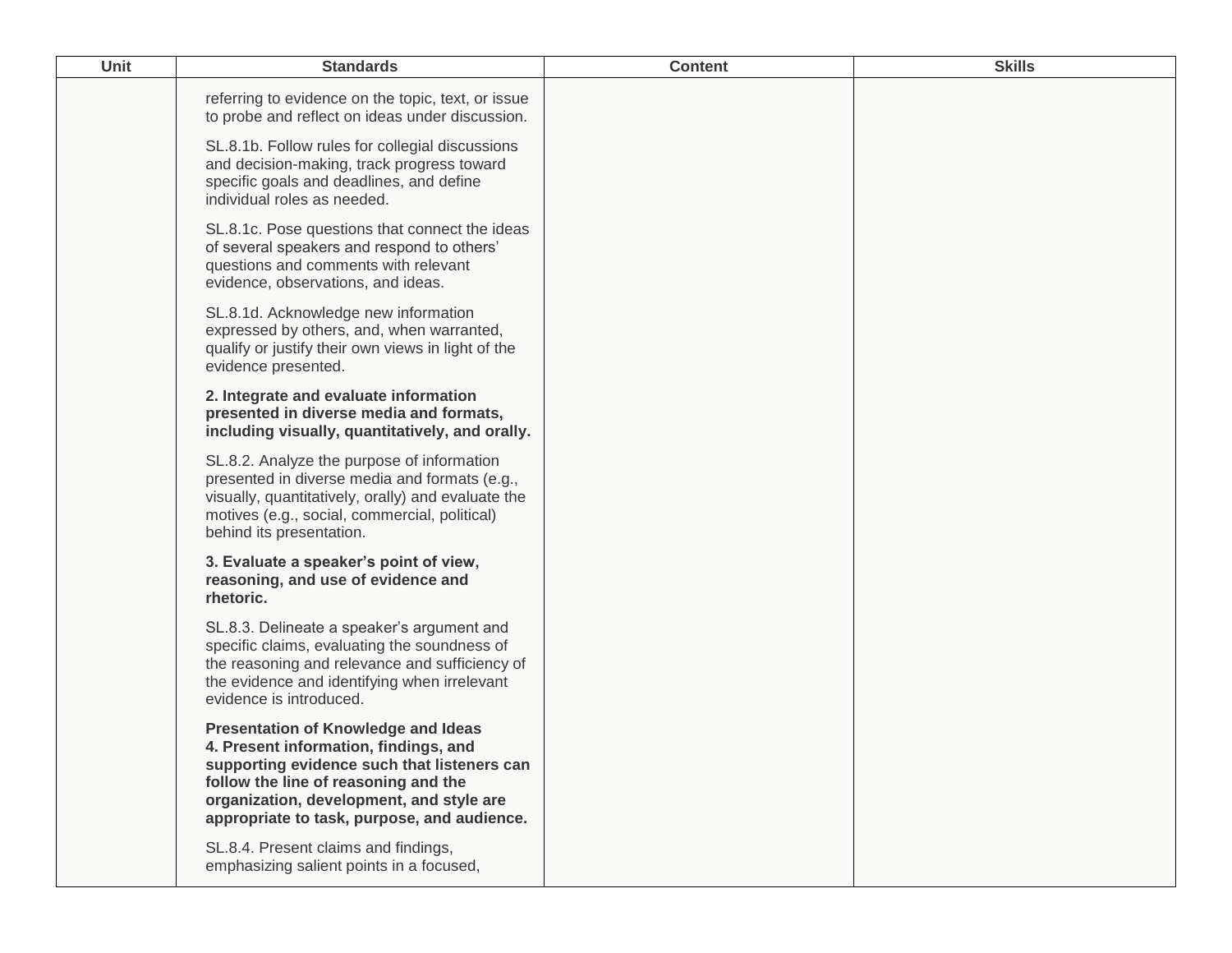| <b>Unit</b> | <b>Standards</b>                                                                                                                                                                                                                                                      | <b>Content</b> | <b>Skills</b> |
|-------------|-----------------------------------------------------------------------------------------------------------------------------------------------------------------------------------------------------------------------------------------------------------------------|----------------|---------------|
|             | referring to evidence on the topic, text, or issue<br>to probe and reflect on ideas under discussion.                                                                                                                                                                 |                |               |
|             | SL.8.1b. Follow rules for collegial discussions<br>and decision-making, track progress toward<br>specific goals and deadlines, and define<br>individual roles as needed.                                                                                              |                |               |
|             | SL.8.1c. Pose questions that connect the ideas<br>of several speakers and respond to others'<br>questions and comments with relevant<br>evidence, observations, and ideas.                                                                                            |                |               |
|             | SL.8.1d. Acknowledge new information<br>expressed by others, and, when warranted,<br>qualify or justify their own views in light of the<br>evidence presented.                                                                                                        |                |               |
|             | 2. Integrate and evaluate information<br>presented in diverse media and formats,<br>including visually, quantitatively, and orally.                                                                                                                                   |                |               |
|             | SL.8.2. Analyze the purpose of information<br>presented in diverse media and formats (e.g.,<br>visually, quantitatively, orally) and evaluate the<br>motives (e.g., social, commercial, political)<br>behind its presentation.                                        |                |               |
|             | 3. Evaluate a speaker's point of view,<br>reasoning, and use of evidence and<br>rhetoric.                                                                                                                                                                             |                |               |
|             | SL.8.3. Delineate a speaker's argument and<br>specific claims, evaluating the soundness of<br>the reasoning and relevance and sufficiency of<br>the evidence and identifying when irrelevant<br>evidence is introduced.                                               |                |               |
|             | <b>Presentation of Knowledge and Ideas</b><br>4. Present information, findings, and<br>supporting evidence such that listeners can<br>follow the line of reasoning and the<br>organization, development, and style are<br>appropriate to task, purpose, and audience. |                |               |
|             | SL.8.4. Present claims and findings,<br>emphasizing salient points in a focused,                                                                                                                                                                                      |                |               |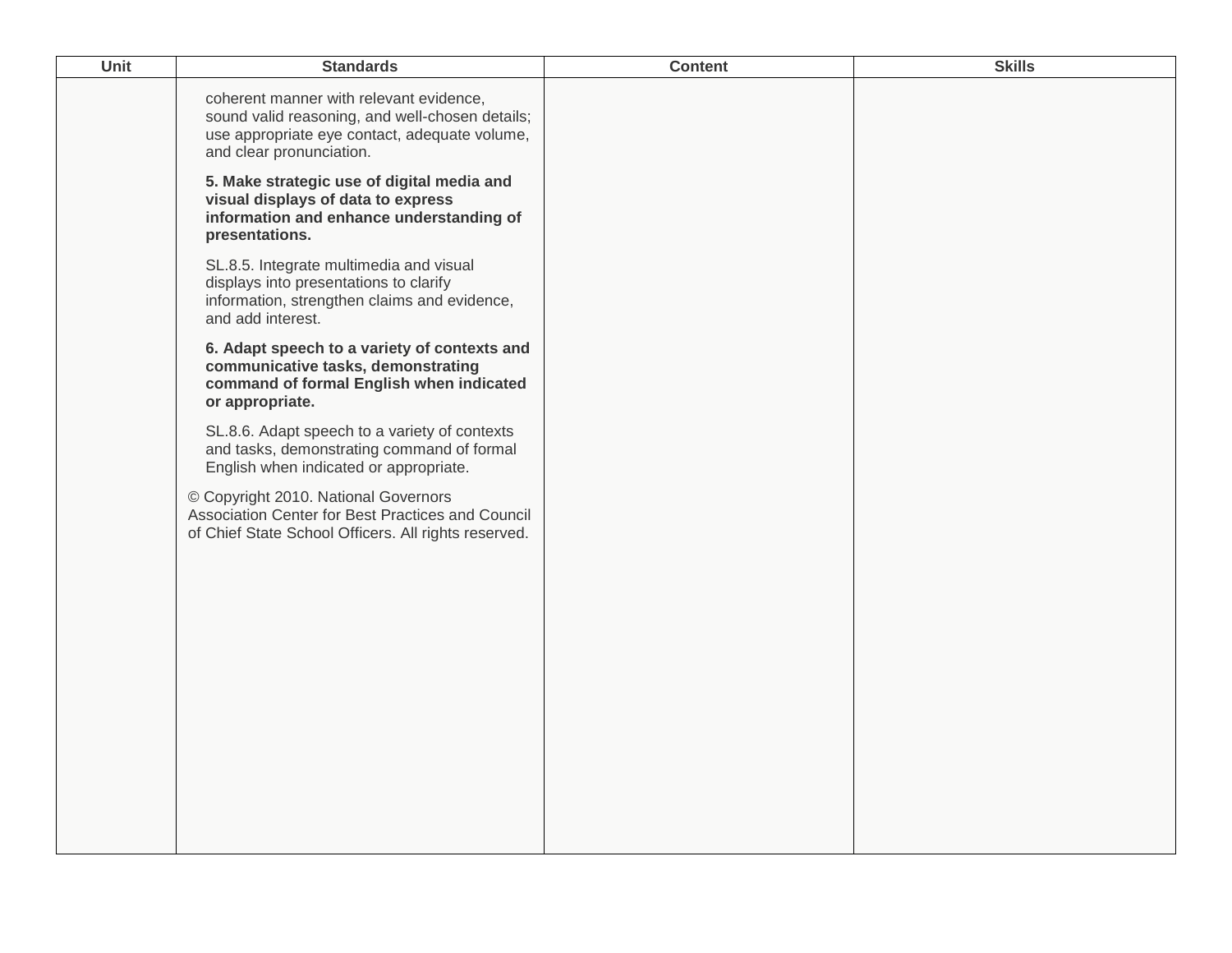| Unit | <b>Standards</b>                                                                                                                                                        | <b>Content</b> | <b>Skills</b> |
|------|-------------------------------------------------------------------------------------------------------------------------------------------------------------------------|----------------|---------------|
|      | coherent manner with relevant evidence,<br>sound valid reasoning, and well-chosen details;<br>use appropriate eye contact, adequate volume,<br>and clear pronunciation. |                |               |
|      | 5. Make strategic use of digital media and<br>visual displays of data to express<br>information and enhance understanding of<br>presentations.                          |                |               |
|      | SL.8.5. Integrate multimedia and visual<br>displays into presentations to clarify<br>information, strengthen claims and evidence,<br>and add interest.                  |                |               |
|      | 6. Adapt speech to a variety of contexts and<br>communicative tasks, demonstrating<br>command of formal English when indicated<br>or appropriate.                       |                |               |
|      | SL.8.6. Adapt speech to a variety of contexts<br>and tasks, demonstrating command of formal<br>English when indicated or appropriate.                                   |                |               |
|      | © Copyright 2010. National Governors<br>Association Center for Best Practices and Council<br>of Chief State School Officers. All rights reserved.                       |                |               |
|      |                                                                                                                                                                         |                |               |
|      |                                                                                                                                                                         |                |               |
|      |                                                                                                                                                                         |                |               |
|      |                                                                                                                                                                         |                |               |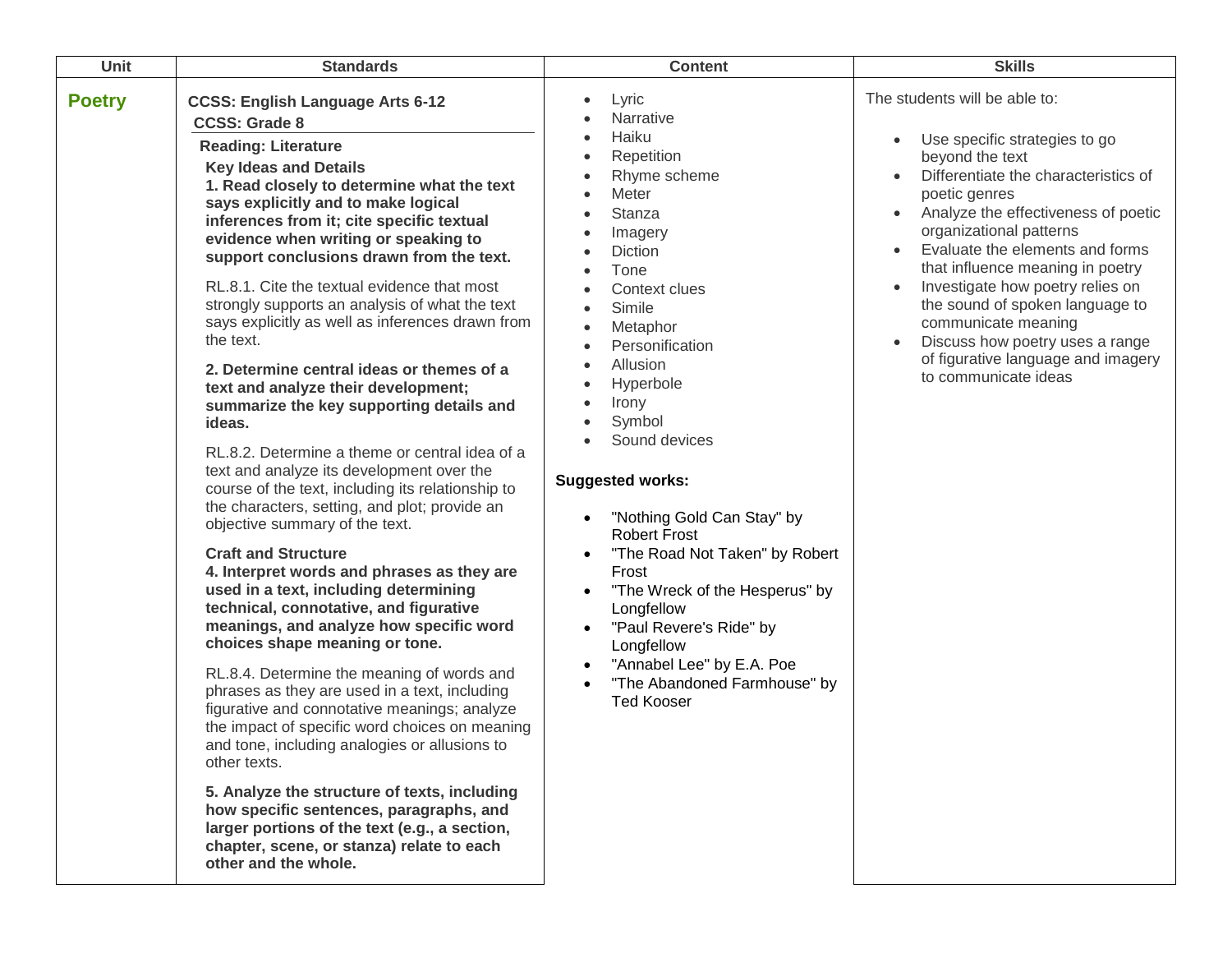| <b>Unit</b>   | <b>Standards</b>                                                                                                                                                                                                                                                                                                                                                                                                                                                                                                                                                                                                                                                                                                                                                                                                                                                                                                                                                                                                                                                                                                                                                                                                                                                                                                                                                                                                                                                                                                                                                                                                                      | <b>Content</b>                                                                                                                                                                                                                                                                                                                                                                                                                                                                                                                                                           | <b>Skills</b>                                                                                                                                                                                                                                                                                                                                                                                                                                                                      |
|---------------|---------------------------------------------------------------------------------------------------------------------------------------------------------------------------------------------------------------------------------------------------------------------------------------------------------------------------------------------------------------------------------------------------------------------------------------------------------------------------------------------------------------------------------------------------------------------------------------------------------------------------------------------------------------------------------------------------------------------------------------------------------------------------------------------------------------------------------------------------------------------------------------------------------------------------------------------------------------------------------------------------------------------------------------------------------------------------------------------------------------------------------------------------------------------------------------------------------------------------------------------------------------------------------------------------------------------------------------------------------------------------------------------------------------------------------------------------------------------------------------------------------------------------------------------------------------------------------------------------------------------------------------|--------------------------------------------------------------------------------------------------------------------------------------------------------------------------------------------------------------------------------------------------------------------------------------------------------------------------------------------------------------------------------------------------------------------------------------------------------------------------------------------------------------------------------------------------------------------------|------------------------------------------------------------------------------------------------------------------------------------------------------------------------------------------------------------------------------------------------------------------------------------------------------------------------------------------------------------------------------------------------------------------------------------------------------------------------------------|
| <b>Poetry</b> | <b>CCSS: English Language Arts 6-12</b><br><b>CCSS: Grade 8</b><br><b>Reading: Literature</b><br><b>Key Ideas and Details</b><br>1. Read closely to determine what the text<br>says explicitly and to make logical<br>inferences from it; cite specific textual<br>evidence when writing or speaking to<br>support conclusions drawn from the text.<br>RL.8.1. Cite the textual evidence that most<br>strongly supports an analysis of what the text<br>says explicitly as well as inferences drawn from<br>the text.<br>2. Determine central ideas or themes of a<br>text and analyze their development;<br>summarize the key supporting details and<br>ideas.<br>RL.8.2. Determine a theme or central idea of a<br>text and analyze its development over the<br>course of the text, including its relationship to<br>the characters, setting, and plot; provide an<br>objective summary of the text.<br><b>Craft and Structure</b><br>4. Interpret words and phrases as they are<br>used in a text, including determining<br>technical, connotative, and figurative<br>meanings, and analyze how specific word<br>choices shape meaning or tone.<br>RL.8.4. Determine the meaning of words and<br>phrases as they are used in a text, including<br>figurative and connotative meanings; analyze<br>the impact of specific word choices on meaning<br>and tone, including analogies or allusions to<br>other texts.<br>5. Analyze the structure of texts, including<br>how specific sentences, paragraphs, and<br>larger portions of the text (e.g., a section,<br>chapter, scene, or stanza) relate to each<br>other and the whole. | Lyric<br>Narrative<br>Haiku<br>Repetition<br>Rhyme scheme<br>Meter<br><b>Stanza</b><br>Imagery<br>Diction<br>Tone<br>Context clues<br>Simile<br>$\bullet$<br>Metaphor<br>$\bullet$<br>Personification<br>Allusion<br>Hyperbole<br>Irony<br>Symbol<br>Sound devices<br><b>Suggested works:</b><br>"Nothing Gold Can Stay" by<br><b>Robert Frost</b><br>"The Road Not Taken" by Robert<br>Frost<br>"The Wreck of the Hesperus" by<br>Longfellow<br>"Paul Revere's Ride" by<br>Longfellow<br>"Annabel Lee" by E.A. Poe<br>"The Abandoned Farmhouse" by<br><b>Ted Kooser</b> | The students will be able to:<br>Use specific strategies to go<br>beyond the text<br>Differentiate the characteristics of<br>poetic genres<br>Analyze the effectiveness of poetic<br>organizational patterns<br>Evaluate the elements and forms<br>that influence meaning in poetry<br>Investigate how poetry relies on<br>the sound of spoken language to<br>communicate meaning<br>Discuss how poetry uses a range<br>of figurative language and imagery<br>to communicate ideas |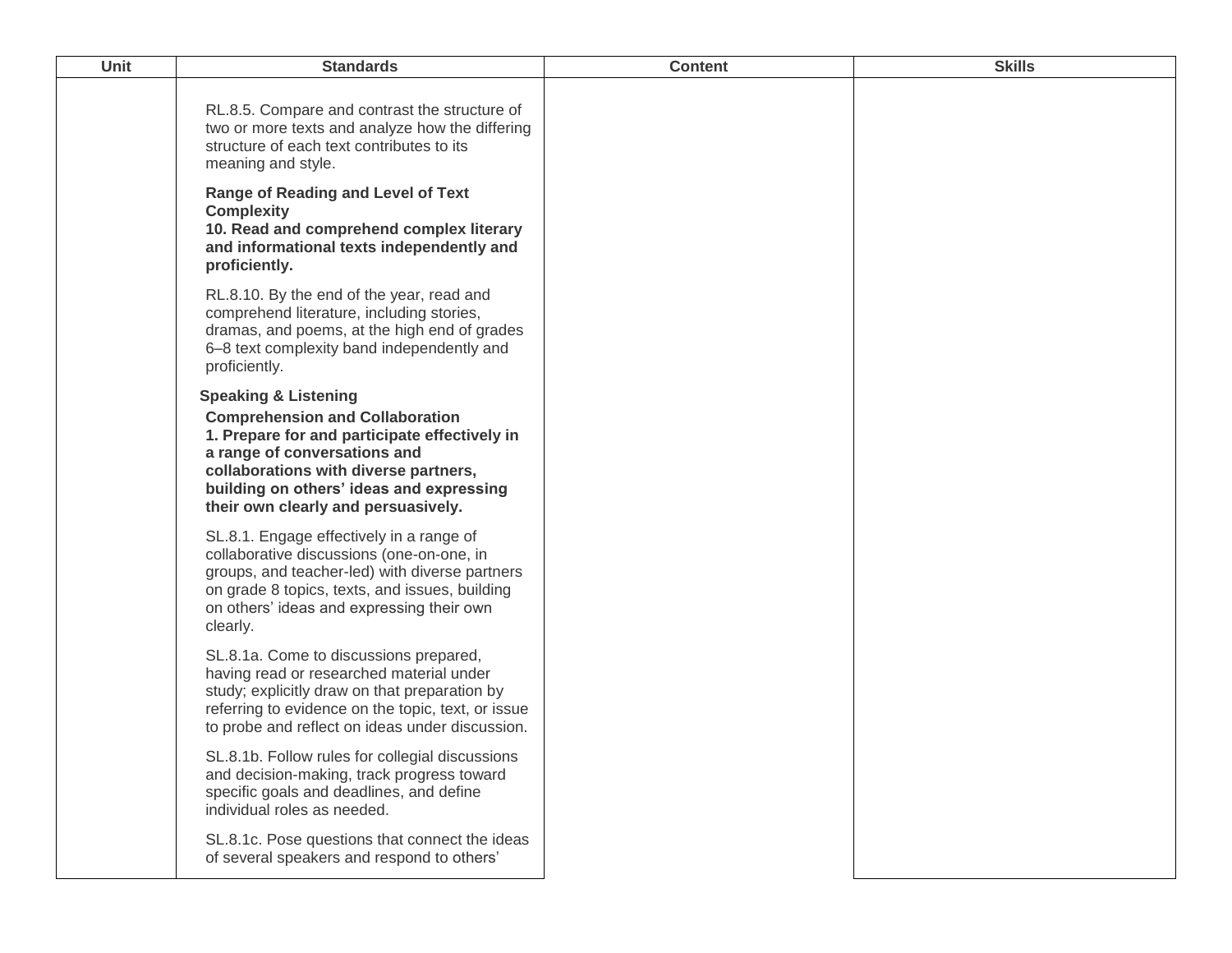| <b>Unit</b> | <b>Standards</b>                                                                                                                                                                                                                                                                       | <b>Content</b> | <b>Skills</b> |
|-------------|----------------------------------------------------------------------------------------------------------------------------------------------------------------------------------------------------------------------------------------------------------------------------------------|----------------|---------------|
|             | RL.8.5. Compare and contrast the structure of<br>two or more texts and analyze how the differing<br>structure of each text contributes to its<br>meaning and style.<br><b>Range of Reading and Level of Text</b>                                                                       |                |               |
|             | <b>Complexity</b><br>10. Read and comprehend complex literary<br>and informational texts independently and<br>proficiently.                                                                                                                                                            |                |               |
|             | RL.8.10. By the end of the year, read and<br>comprehend literature, including stories,<br>dramas, and poems, at the high end of grades<br>6-8 text complexity band independently and<br>proficiently.                                                                                  |                |               |
|             | <b>Speaking &amp; Listening</b><br><b>Comprehension and Collaboration</b><br>1. Prepare for and participate effectively in<br>a range of conversations and<br>collaborations with diverse partners,<br>building on others' ideas and expressing<br>their own clearly and persuasively. |                |               |
|             | SL.8.1. Engage effectively in a range of<br>collaborative discussions (one-on-one, in<br>groups, and teacher-led) with diverse partners<br>on grade 8 topics, texts, and issues, building<br>on others' ideas and expressing their own<br>clearly.                                     |                |               |
|             | SL.8.1a. Come to discussions prepared,<br>having read or researched material under<br>study; explicitly draw on that preparation by<br>referring to evidence on the topic, text, or issue<br>to probe and reflect on ideas under discussion.                                           |                |               |
|             | SL.8.1b. Follow rules for collegial discussions<br>and decision-making, track progress toward<br>specific goals and deadlines, and define<br>individual roles as needed.                                                                                                               |                |               |
|             | SL.8.1c. Pose questions that connect the ideas<br>of several speakers and respond to others'                                                                                                                                                                                           |                |               |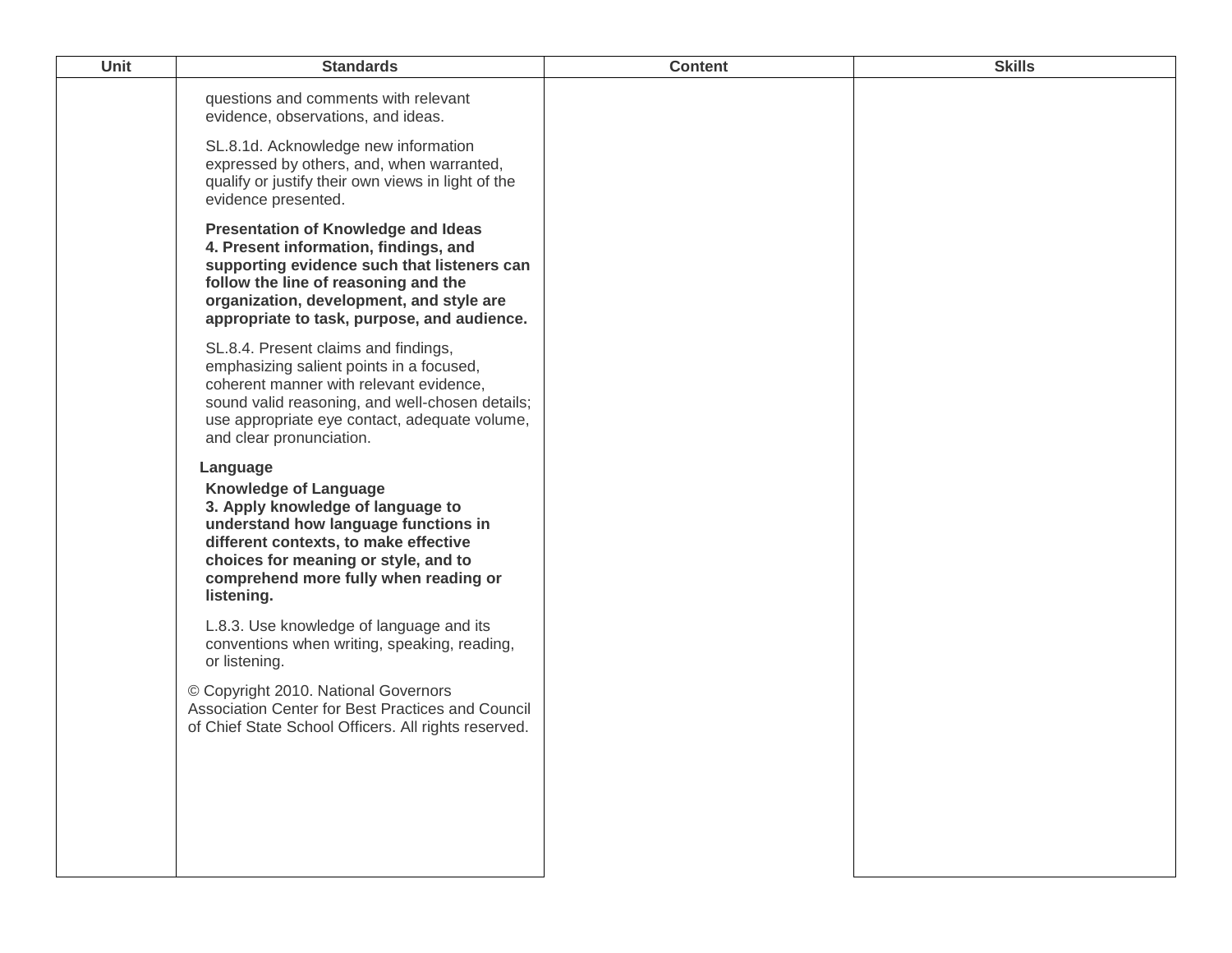| <b>Unit</b> | <b>Standards</b>                                                                                                                                                                                                                                                      | <b>Content</b> | <b>Skills</b> |
|-------------|-----------------------------------------------------------------------------------------------------------------------------------------------------------------------------------------------------------------------------------------------------------------------|----------------|---------------|
|             | questions and comments with relevant<br>evidence, observations, and ideas.                                                                                                                                                                                            |                |               |
|             | SL.8.1d. Acknowledge new information<br>expressed by others, and, when warranted,<br>qualify or justify their own views in light of the<br>evidence presented.                                                                                                        |                |               |
|             | <b>Presentation of Knowledge and Ideas</b><br>4. Present information, findings, and<br>supporting evidence such that listeners can<br>follow the line of reasoning and the<br>organization, development, and style are<br>appropriate to task, purpose, and audience. |                |               |
|             | SL.8.4. Present claims and findings,<br>emphasizing salient points in a focused,<br>coherent manner with relevant evidence,<br>sound valid reasoning, and well-chosen details;<br>use appropriate eye contact, adequate volume,<br>and clear pronunciation.           |                |               |
|             | Language<br><b>Knowledge of Language</b><br>3. Apply knowledge of language to<br>understand how language functions in<br>different contexts, to make effective<br>choices for meaning or style, and to<br>comprehend more fully when reading or<br>listening.         |                |               |
|             | L.8.3. Use knowledge of language and its<br>conventions when writing, speaking, reading,<br>or listening.                                                                                                                                                             |                |               |
|             | © Copyright 2010. National Governors<br>Association Center for Best Practices and Council<br>of Chief State School Officers. All rights reserved.                                                                                                                     |                |               |
|             |                                                                                                                                                                                                                                                                       |                |               |
|             |                                                                                                                                                                                                                                                                       |                |               |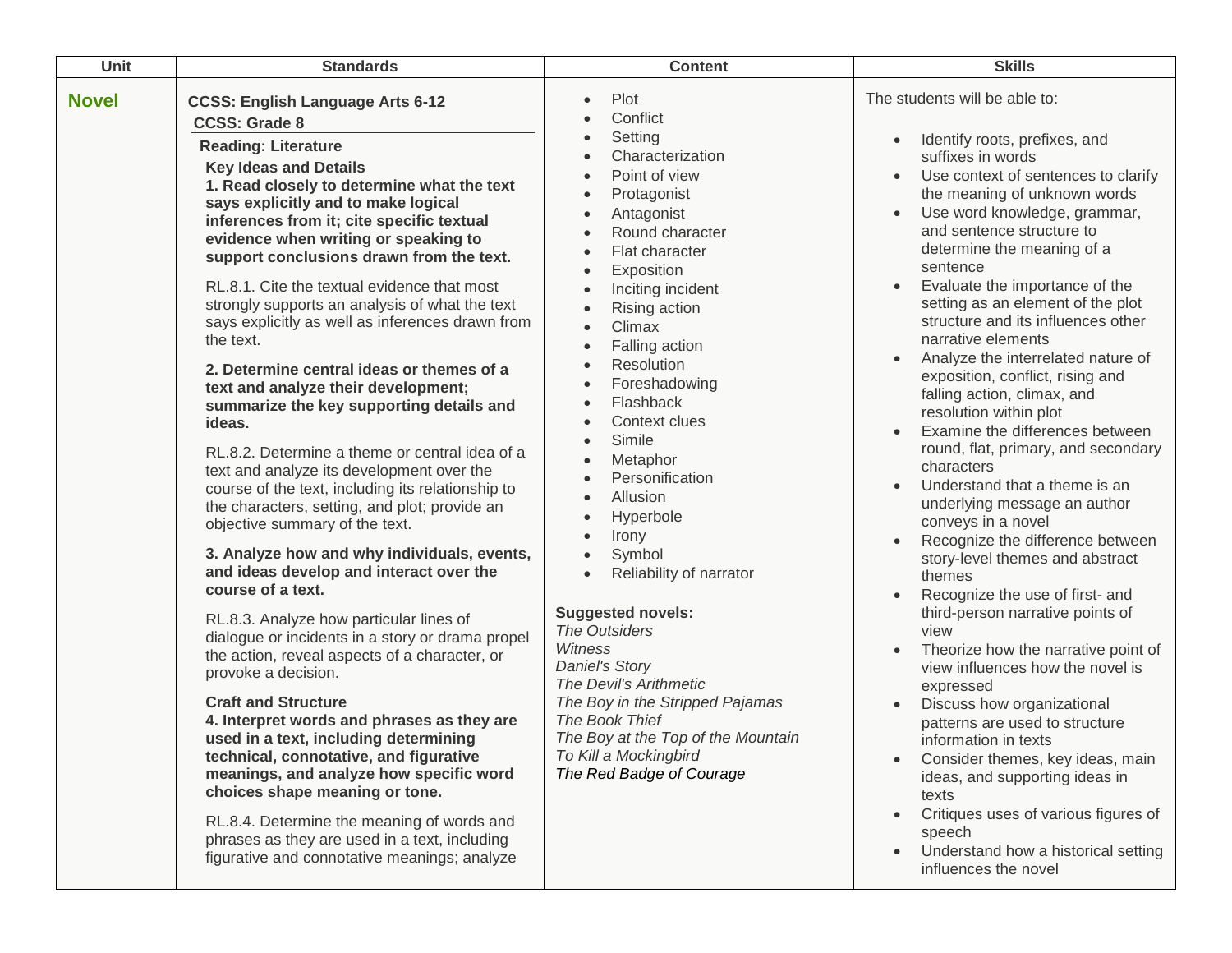| <b>Unit</b>  | <b>Standards</b>                                                                                                                                                                                                                                                                                                                                                                                                                                                                                                                                                                                                                                                                                                                                                                                                                                                                                                                                                                                                                                                                                                                                                                                                                                                                                                                                                                                                                                                                                                                                                                        | <b>Content</b>                                                                                                                                                                                                                                                                                                                                                                                                                                                                                                                                                                                                                                                                                                                                                                                                                                                                                 | <b>Skills</b>                                                                                                                                                                                                                                                                                                                                                                                                                                                                                                                                                                                                                                                                                                                                                                                                                                                                                                                                                                                                                                                                                                                                                                                                                                                                       |
|--------------|-----------------------------------------------------------------------------------------------------------------------------------------------------------------------------------------------------------------------------------------------------------------------------------------------------------------------------------------------------------------------------------------------------------------------------------------------------------------------------------------------------------------------------------------------------------------------------------------------------------------------------------------------------------------------------------------------------------------------------------------------------------------------------------------------------------------------------------------------------------------------------------------------------------------------------------------------------------------------------------------------------------------------------------------------------------------------------------------------------------------------------------------------------------------------------------------------------------------------------------------------------------------------------------------------------------------------------------------------------------------------------------------------------------------------------------------------------------------------------------------------------------------------------------------------------------------------------------------|------------------------------------------------------------------------------------------------------------------------------------------------------------------------------------------------------------------------------------------------------------------------------------------------------------------------------------------------------------------------------------------------------------------------------------------------------------------------------------------------------------------------------------------------------------------------------------------------------------------------------------------------------------------------------------------------------------------------------------------------------------------------------------------------------------------------------------------------------------------------------------------------|-------------------------------------------------------------------------------------------------------------------------------------------------------------------------------------------------------------------------------------------------------------------------------------------------------------------------------------------------------------------------------------------------------------------------------------------------------------------------------------------------------------------------------------------------------------------------------------------------------------------------------------------------------------------------------------------------------------------------------------------------------------------------------------------------------------------------------------------------------------------------------------------------------------------------------------------------------------------------------------------------------------------------------------------------------------------------------------------------------------------------------------------------------------------------------------------------------------------------------------------------------------------------------------|
| <b>Novel</b> | <b>CCSS: English Language Arts 6-12</b><br><b>CCSS: Grade 8</b><br><b>Reading: Literature</b><br><b>Key Ideas and Details</b><br>1. Read closely to determine what the text<br>says explicitly and to make logical<br>inferences from it; cite specific textual<br>evidence when writing or speaking to<br>support conclusions drawn from the text.<br>RL.8.1. Cite the textual evidence that most<br>strongly supports an analysis of what the text<br>says explicitly as well as inferences drawn from<br>the text.<br>2. Determine central ideas or themes of a<br>text and analyze their development;<br>summarize the key supporting details and<br>ideas.<br>RL.8.2. Determine a theme or central idea of a<br>text and analyze its development over the<br>course of the text, including its relationship to<br>the characters, setting, and plot; provide an<br>objective summary of the text.<br>3. Analyze how and why individuals, events,<br>and ideas develop and interact over the<br>course of a text.<br>RL.8.3. Analyze how particular lines of<br>dialogue or incidents in a story or drama propel<br>the action, reveal aspects of a character, or<br>provoke a decision.<br><b>Craft and Structure</b><br>4. Interpret words and phrases as they are<br>used in a text, including determining<br>technical, connotative, and figurative<br>meanings, and analyze how specific word<br>choices shape meaning or tone.<br>RL.8.4. Determine the meaning of words and<br>phrases as they are used in a text, including<br>figurative and connotative meanings; analyze | Plot<br>$\bullet$<br>Conflict<br>Setting<br>$\bullet$<br>Characterization<br>$\bullet$<br>Point of view<br>Protagonist<br>$\bullet$<br>Antagonist<br>$\bullet$<br>Round character<br>$\bullet$<br>Flat character<br>$\bullet$<br>Exposition<br>$\bullet$<br>Inciting incident<br>$\bullet$<br>Rising action<br>$\bullet$<br>Climax<br>$\bullet$<br>Falling action<br>$\bullet$<br>Resolution<br>Foreshadowing<br>Flashback<br>$\bullet$<br>Context clues<br>$\bullet$<br>Simile<br>$\bullet$<br>Metaphor<br>$\bullet$<br>Personification<br>Allusion<br>Hyperbole<br>Irony<br>Symbol<br>Reliability of narrator<br>$\bullet$<br><b>Suggested novels:</b><br>The Outsiders<br><b>Witness</b><br><b>Daniel's Story</b><br>The Devil's Arithmetic<br>The Boy in the Stripped Pajamas<br>The Book Thief<br>The Boy at the Top of the Mountain<br>To Kill a Mockingbird<br>The Red Badge of Courage | The students will be able to:<br>Identify roots, prefixes, and<br>suffixes in words<br>Use context of sentences to clarify<br>the meaning of unknown words<br>Use word knowledge, grammar,<br>and sentence structure to<br>determine the meaning of a<br>sentence<br>Evaluate the importance of the<br>$\bullet$<br>setting as an element of the plot<br>structure and its influences other<br>narrative elements<br>Analyze the interrelated nature of<br>exposition, conflict, rising and<br>falling action, climax, and<br>resolution within plot<br>Examine the differences between<br>round, flat, primary, and secondary<br>characters<br>Understand that a theme is an<br>underlying message an author<br>conveys in a novel<br>Recognize the difference between<br>story-level themes and abstract<br>themes<br>Recognize the use of first- and<br>third-person narrative points of<br>view<br>Theorize how the narrative point of<br>view influences how the novel is<br>expressed<br>Discuss how organizational<br>patterns are used to structure<br>information in texts<br>Consider themes, key ideas, main<br>ideas, and supporting ideas in<br>texts<br>Critiques uses of various figures of<br>speech<br>Understand how a historical setting<br>influences the novel |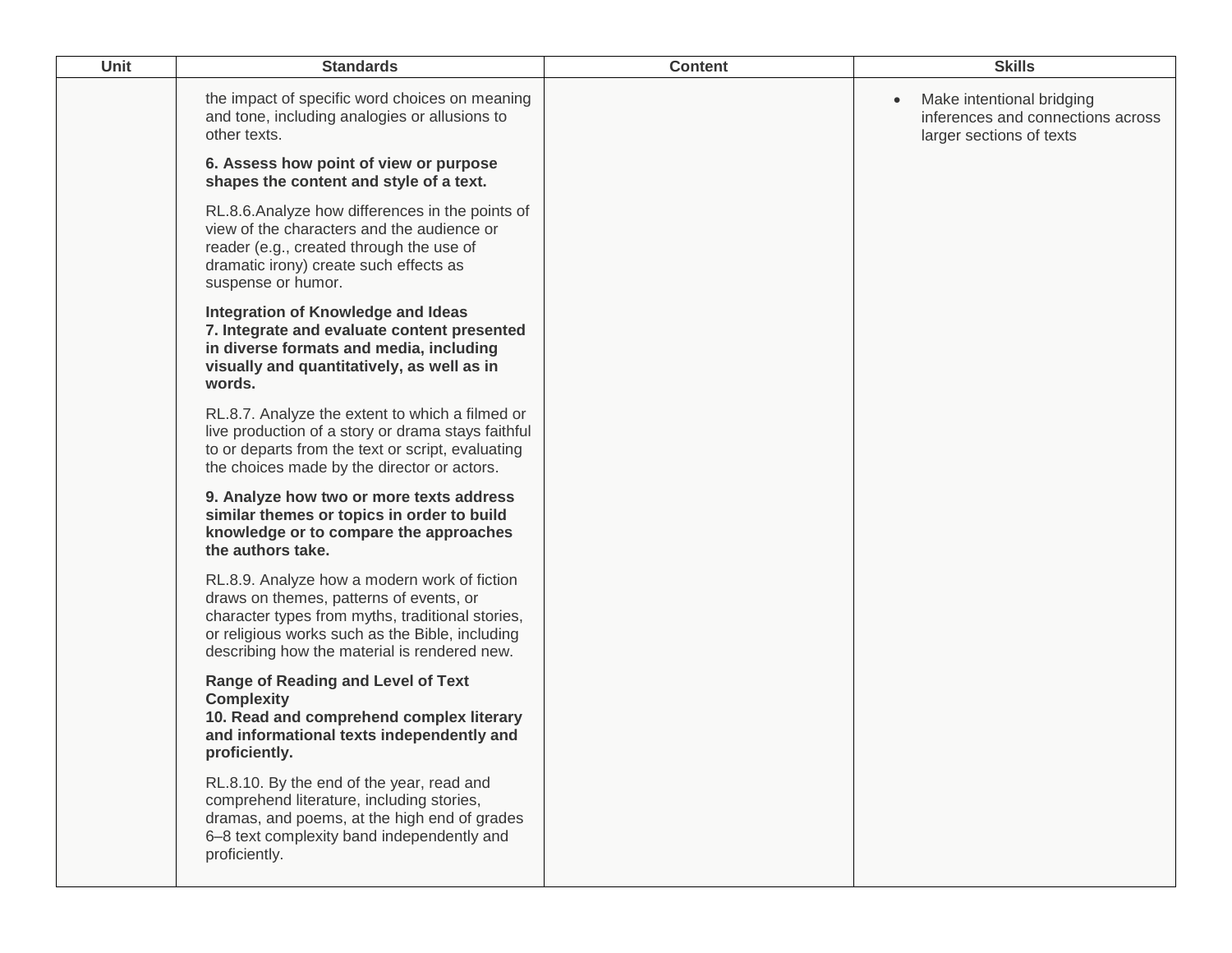| <b>Unit</b> | <b>Standards</b>                                                                                                                                                                                                                               | <b>Content</b> | <b>Skills</b>                                                                                           |
|-------------|------------------------------------------------------------------------------------------------------------------------------------------------------------------------------------------------------------------------------------------------|----------------|---------------------------------------------------------------------------------------------------------|
|             | the impact of specific word choices on meaning<br>and tone, including analogies or allusions to<br>other texts.                                                                                                                                |                | Make intentional bridging<br>$\bullet$<br>inferences and connections across<br>larger sections of texts |
|             | 6. Assess how point of view or purpose<br>shapes the content and style of a text.                                                                                                                                                              |                |                                                                                                         |
|             | RL.8.6.Analyze how differences in the points of<br>view of the characters and the audience or<br>reader (e.g., created through the use of<br>dramatic irony) create such effects as<br>suspense or humor.                                      |                |                                                                                                         |
|             | Integration of Knowledge and Ideas<br>7. Integrate and evaluate content presented<br>in diverse formats and media, including<br>visually and quantitatively, as well as in<br>words.                                                           |                |                                                                                                         |
|             | RL.8.7. Analyze the extent to which a filmed or<br>live production of a story or drama stays faithful<br>to or departs from the text or script, evaluating<br>the choices made by the director or actors.                                      |                |                                                                                                         |
|             | 9. Analyze how two or more texts address<br>similar themes or topics in order to build<br>knowledge or to compare the approaches<br>the authors take.                                                                                          |                |                                                                                                         |
|             | RL.8.9. Analyze how a modern work of fiction<br>draws on themes, patterns of events, or<br>character types from myths, traditional stories,<br>or religious works such as the Bible, including<br>describing how the material is rendered new. |                |                                                                                                         |
|             | <b>Range of Reading and Level of Text</b><br><b>Complexity</b><br>10. Read and comprehend complex literary<br>and informational texts independently and<br>proficiently.                                                                       |                |                                                                                                         |
|             | RL.8.10. By the end of the year, read and<br>comprehend literature, including stories,<br>dramas, and poems, at the high end of grades<br>6-8 text complexity band independently and<br>proficiently.                                          |                |                                                                                                         |
|             |                                                                                                                                                                                                                                                |                |                                                                                                         |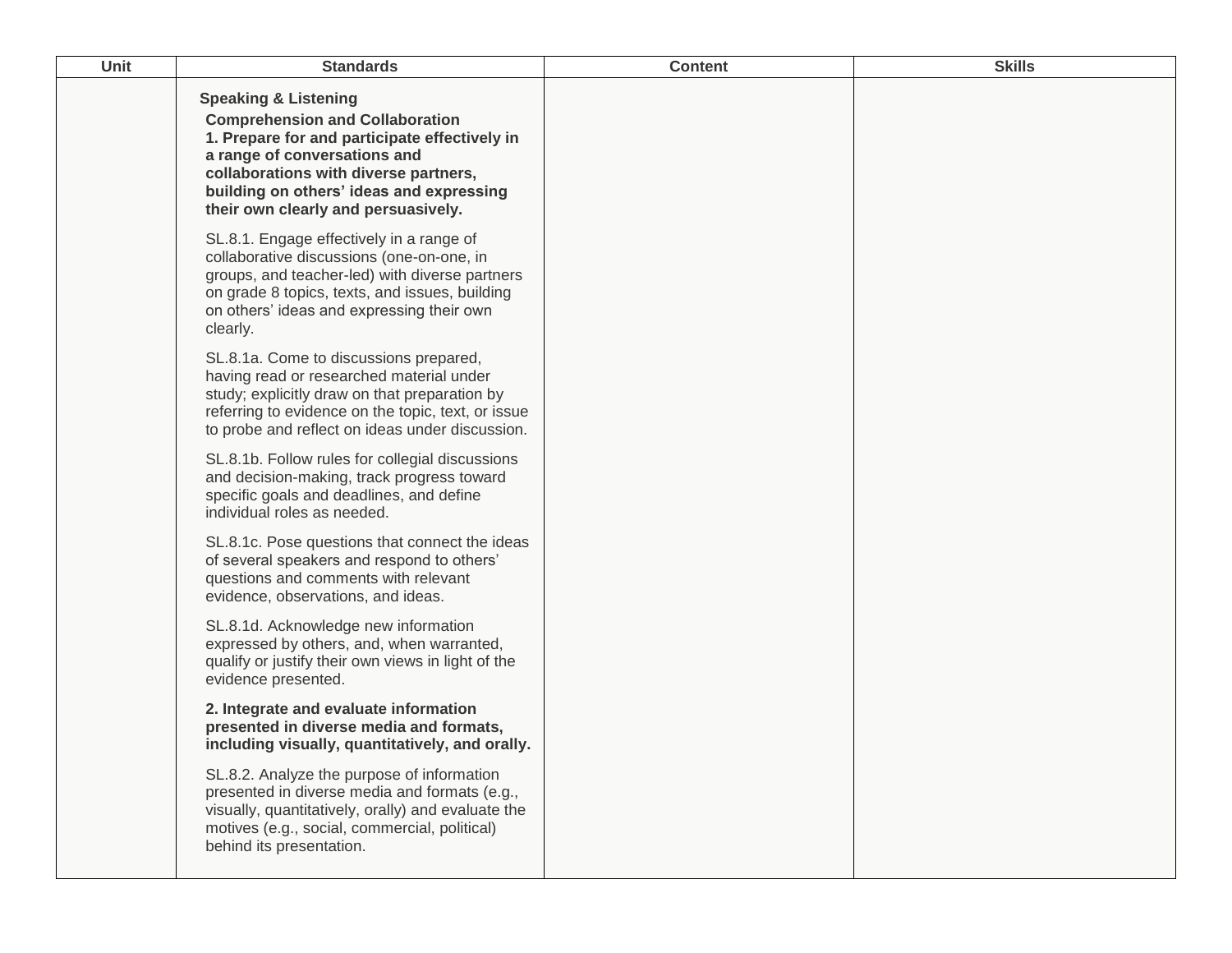| <b>Unit</b> | <b>Standards</b>                                                                                                                                                                                                                                                                       | <b>Content</b> | <b>Skills</b> |
|-------------|----------------------------------------------------------------------------------------------------------------------------------------------------------------------------------------------------------------------------------------------------------------------------------------|----------------|---------------|
|             | <b>Speaking &amp; Listening</b><br><b>Comprehension and Collaboration</b><br>1. Prepare for and participate effectively in<br>a range of conversations and<br>collaborations with diverse partners,<br>building on others' ideas and expressing<br>their own clearly and persuasively. |                |               |
|             | SL.8.1. Engage effectively in a range of<br>collaborative discussions (one-on-one, in<br>groups, and teacher-led) with diverse partners<br>on grade 8 topics, texts, and issues, building<br>on others' ideas and expressing their own<br>clearly.                                     |                |               |
|             | SL.8.1a. Come to discussions prepared,<br>having read or researched material under<br>study; explicitly draw on that preparation by<br>referring to evidence on the topic, text, or issue<br>to probe and reflect on ideas under discussion.                                           |                |               |
|             | SL.8.1b. Follow rules for collegial discussions<br>and decision-making, track progress toward<br>specific goals and deadlines, and define<br>individual roles as needed.                                                                                                               |                |               |
|             | SL.8.1c. Pose questions that connect the ideas<br>of several speakers and respond to others'<br>questions and comments with relevant<br>evidence, observations, and ideas.                                                                                                             |                |               |
|             | SL.8.1d. Acknowledge new information<br>expressed by others, and, when warranted,<br>qualify or justify their own views in light of the<br>evidence presented.                                                                                                                         |                |               |
|             | 2. Integrate and evaluate information<br>presented in diverse media and formats,<br>including visually, quantitatively, and orally.                                                                                                                                                    |                |               |
|             | SL.8.2. Analyze the purpose of information<br>presented in diverse media and formats (e.g.,<br>visually, quantitatively, orally) and evaluate the<br>motives (e.g., social, commercial, political)<br>behind its presentation.                                                         |                |               |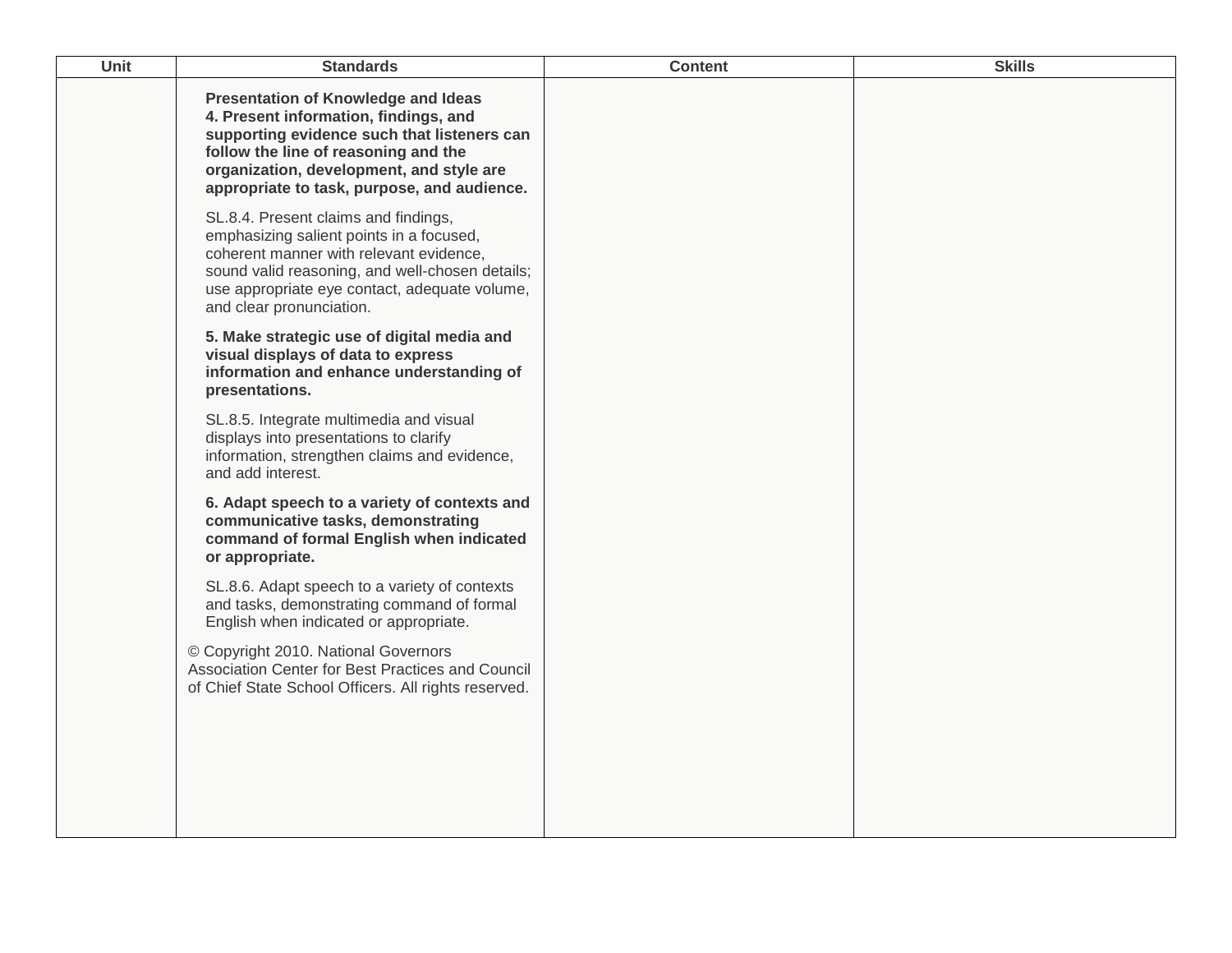| <b>Unit</b> | <b>Standards</b>                                                                                                                                                                                                                                                      | <b>Content</b> | <b>Skills</b> |
|-------------|-----------------------------------------------------------------------------------------------------------------------------------------------------------------------------------------------------------------------------------------------------------------------|----------------|---------------|
|             | <b>Presentation of Knowledge and Ideas</b><br>4. Present information, findings, and<br>supporting evidence such that listeners can<br>follow the line of reasoning and the<br>organization, development, and style are<br>appropriate to task, purpose, and audience. |                |               |
|             | SL.8.4. Present claims and findings,<br>emphasizing salient points in a focused,<br>coherent manner with relevant evidence,<br>sound valid reasoning, and well-chosen details;<br>use appropriate eye contact, adequate volume,<br>and clear pronunciation.           |                |               |
|             | 5. Make strategic use of digital media and<br>visual displays of data to express<br>information and enhance understanding of<br>presentations.                                                                                                                        |                |               |
|             | SL.8.5. Integrate multimedia and visual<br>displays into presentations to clarify<br>information, strengthen claims and evidence,<br>and add interest.                                                                                                                |                |               |
|             | 6. Adapt speech to a variety of contexts and<br>communicative tasks, demonstrating<br>command of formal English when indicated<br>or appropriate.                                                                                                                     |                |               |
|             | SL.8.6. Adapt speech to a variety of contexts<br>and tasks, demonstrating command of formal<br>English when indicated or appropriate.                                                                                                                                 |                |               |
|             | © Copyright 2010. National Governors<br>Association Center for Best Practices and Council<br>of Chief State School Officers. All rights reserved.                                                                                                                     |                |               |
|             |                                                                                                                                                                                                                                                                       |                |               |
|             |                                                                                                                                                                                                                                                                       |                |               |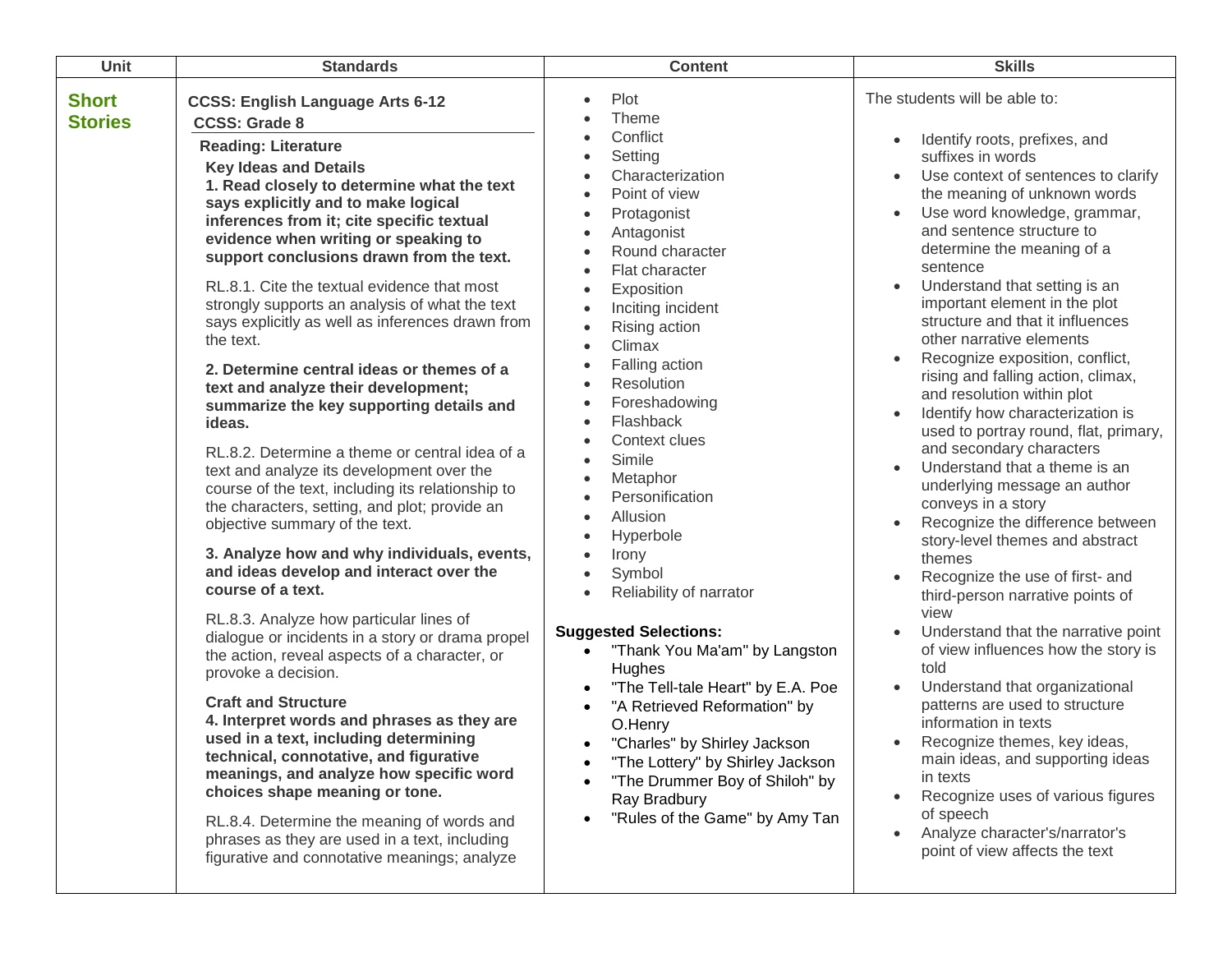| Unit                           | <b>Standards</b>                                                                                                                                                                                                                                                                                                                                                                                                                                                                                                                                                                                                                                                                                                                                                                                                                                                                                                                                                                                                                                                                                                                                                                                                                                                                                                                                                                                                                                                                                                                                                                        | <b>Content</b>                                                                                                                                                                                                                                                                                                                                                                                                                                                                                                                                                                                                                                                                                                                                                                  | <b>Skills</b>                                                                                                                                                                                                                                                                                                                                                                                                                                                                                                                                                                                                                                                                                                                                                                                                                                                                                                                                                                                                                                                                                                                                                                                                                                                      |
|--------------------------------|-----------------------------------------------------------------------------------------------------------------------------------------------------------------------------------------------------------------------------------------------------------------------------------------------------------------------------------------------------------------------------------------------------------------------------------------------------------------------------------------------------------------------------------------------------------------------------------------------------------------------------------------------------------------------------------------------------------------------------------------------------------------------------------------------------------------------------------------------------------------------------------------------------------------------------------------------------------------------------------------------------------------------------------------------------------------------------------------------------------------------------------------------------------------------------------------------------------------------------------------------------------------------------------------------------------------------------------------------------------------------------------------------------------------------------------------------------------------------------------------------------------------------------------------------------------------------------------------|---------------------------------------------------------------------------------------------------------------------------------------------------------------------------------------------------------------------------------------------------------------------------------------------------------------------------------------------------------------------------------------------------------------------------------------------------------------------------------------------------------------------------------------------------------------------------------------------------------------------------------------------------------------------------------------------------------------------------------------------------------------------------------|--------------------------------------------------------------------------------------------------------------------------------------------------------------------------------------------------------------------------------------------------------------------------------------------------------------------------------------------------------------------------------------------------------------------------------------------------------------------------------------------------------------------------------------------------------------------------------------------------------------------------------------------------------------------------------------------------------------------------------------------------------------------------------------------------------------------------------------------------------------------------------------------------------------------------------------------------------------------------------------------------------------------------------------------------------------------------------------------------------------------------------------------------------------------------------------------------------------------------------------------------------------------|
| <b>Short</b><br><b>Stories</b> | <b>CCSS: English Language Arts 6-12</b><br><b>CCSS: Grade 8</b><br><b>Reading: Literature</b><br><b>Key Ideas and Details</b><br>1. Read closely to determine what the text<br>says explicitly and to make logical<br>inferences from it; cite specific textual<br>evidence when writing or speaking to<br>support conclusions drawn from the text.<br>RL.8.1. Cite the textual evidence that most<br>strongly supports an analysis of what the text<br>says explicitly as well as inferences drawn from<br>the text.<br>2. Determine central ideas or themes of a<br>text and analyze their development;<br>summarize the key supporting details and<br>ideas.<br>RL.8.2. Determine a theme or central idea of a<br>text and analyze its development over the<br>course of the text, including its relationship to<br>the characters, setting, and plot; provide an<br>objective summary of the text.<br>3. Analyze how and why individuals, events,<br>and ideas develop and interact over the<br>course of a text.<br>RL.8.3. Analyze how particular lines of<br>dialogue or incidents in a story or drama propel<br>the action, reveal aspects of a character, or<br>provoke a decision.<br><b>Craft and Structure</b><br>4. Interpret words and phrases as they are<br>used in a text, including determining<br>technical, connotative, and figurative<br>meanings, and analyze how specific word<br>choices shape meaning or tone.<br>RL.8.4. Determine the meaning of words and<br>phrases as they are used in a text, including<br>figurative and connotative meanings; analyze | Plot<br>Theme<br>Conflict<br>Setting<br>Characterization<br>Point of view<br>Protagonist<br>Antagonist<br>Round character<br>Flat character<br>Exposition<br>Inciting incident<br>Rising action<br>Climax<br>Falling action<br>Resolution<br>Foreshadowing<br>Flashback<br>Context clues<br>Simile<br>Metaphor<br>Personification<br>Allusion<br>Hyperbole<br>$\bullet$<br>Irony<br>$\bullet$<br>Symbol<br>$\bullet$<br>Reliability of narrator<br>$\bullet$<br><b>Suggested Selections:</b><br>"Thank You Ma'am" by Langston<br>Hughes<br>"The Tell-tale Heart" by E.A. Poe<br>"A Retrieved Reformation" by<br>O.Henry<br>"Charles" by Shirley Jackson<br>"The Lottery" by Shirley Jackson<br>"The Drummer Boy of Shiloh" by<br>Ray Bradbury<br>"Rules of the Game" by Amy Tan | The students will be able to:<br>Identify roots, prefixes, and<br>suffixes in words<br>Use context of sentences to clarify<br>the meaning of unknown words<br>Use word knowledge, grammar,<br>and sentence structure to<br>determine the meaning of a<br>sentence<br>Understand that setting is an<br>important element in the plot<br>structure and that it influences<br>other narrative elements<br>Recognize exposition, conflict,<br>rising and falling action, climax,<br>and resolution within plot<br>Identify how characterization is<br>used to portray round, flat, primary,<br>and secondary characters<br>Understand that a theme is an<br>underlying message an author<br>conveys in a story<br>Recognize the difference between<br>story-level themes and abstract<br>themes<br>Recognize the use of first- and<br>third-person narrative points of<br>view<br>Understand that the narrative point<br>of view influences how the story is<br>told<br>Understand that organizational<br>patterns are used to structure<br>information in texts<br>Recognize themes, key ideas,<br>main ideas, and supporting ideas<br>in texts<br>Recognize uses of various figures<br>of speech<br>Analyze character's/narrator's<br>point of view affects the text |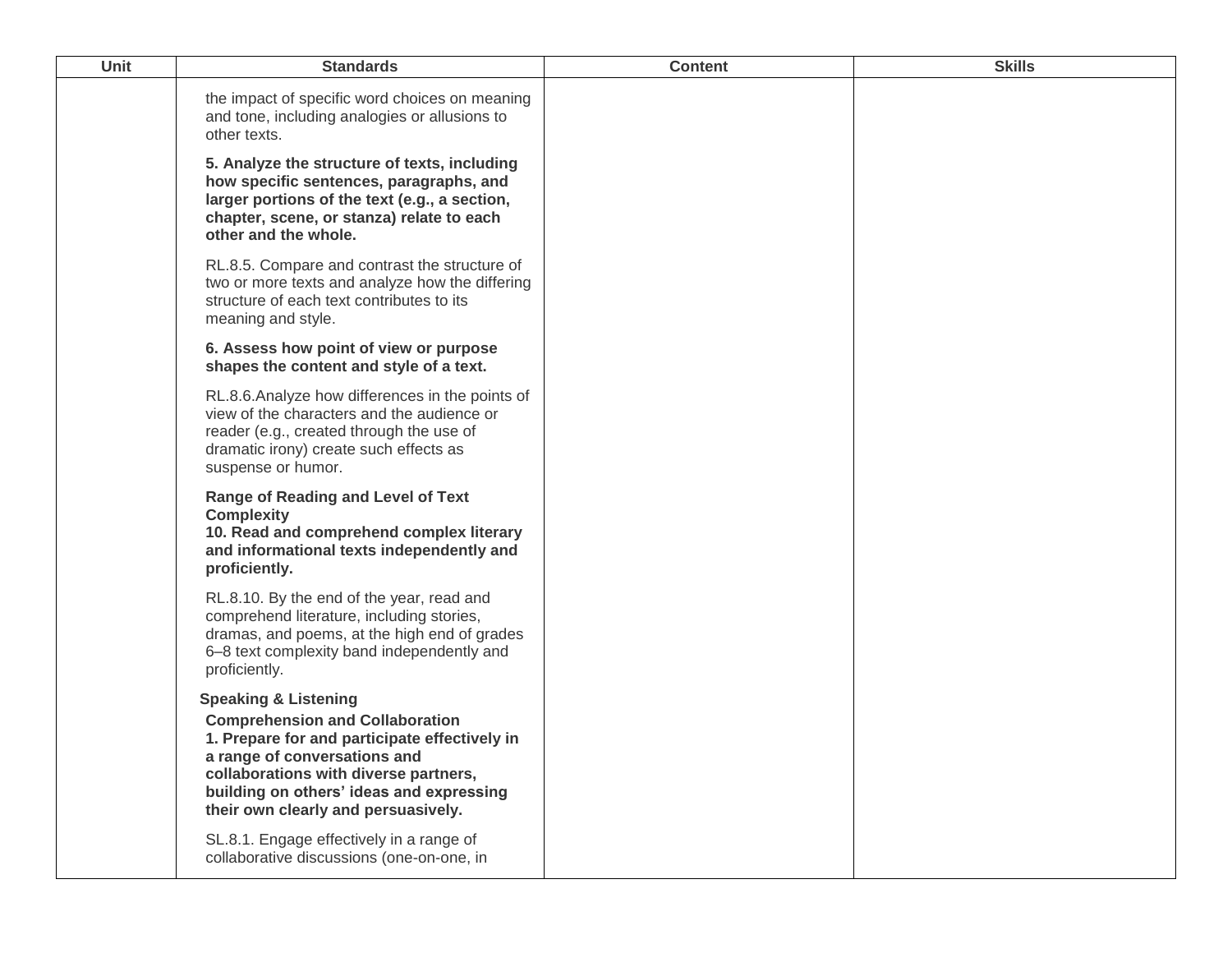| Unit | <b>Standards</b>                                                                                                                                                                                                                                                                       | <b>Content</b> | <b>Skills</b> |
|------|----------------------------------------------------------------------------------------------------------------------------------------------------------------------------------------------------------------------------------------------------------------------------------------|----------------|---------------|
|      | the impact of specific word choices on meaning<br>and tone, including analogies or allusions to<br>other texts.                                                                                                                                                                        |                |               |
|      | 5. Analyze the structure of texts, including<br>how specific sentences, paragraphs, and<br>larger portions of the text (e.g., a section,<br>chapter, scene, or stanza) relate to each<br>other and the whole.                                                                          |                |               |
|      | RL.8.5. Compare and contrast the structure of<br>two or more texts and analyze how the differing<br>structure of each text contributes to its<br>meaning and style.                                                                                                                    |                |               |
|      | 6. Assess how point of view or purpose<br>shapes the content and style of a text.                                                                                                                                                                                                      |                |               |
|      | RL.8.6. Analyze how differences in the points of<br>view of the characters and the audience or<br>reader (e.g., created through the use of<br>dramatic irony) create such effects as<br>suspense or humor.                                                                             |                |               |
|      | <b>Range of Reading and Level of Text</b><br><b>Complexity</b><br>10. Read and comprehend complex literary<br>and informational texts independently and<br>proficiently.                                                                                                               |                |               |
|      | RL.8.10. By the end of the year, read and<br>comprehend literature, including stories,<br>dramas, and poems, at the high end of grades<br>6-8 text complexity band independently and<br>proficiently.                                                                                  |                |               |
|      | <b>Speaking &amp; Listening</b><br><b>Comprehension and Collaboration</b><br>1. Prepare for and participate effectively in<br>a range of conversations and<br>collaborations with diverse partners,<br>building on others' ideas and expressing<br>their own clearly and persuasively. |                |               |
|      | SL.8.1. Engage effectively in a range of<br>collaborative discussions (one-on-one, in                                                                                                                                                                                                  |                |               |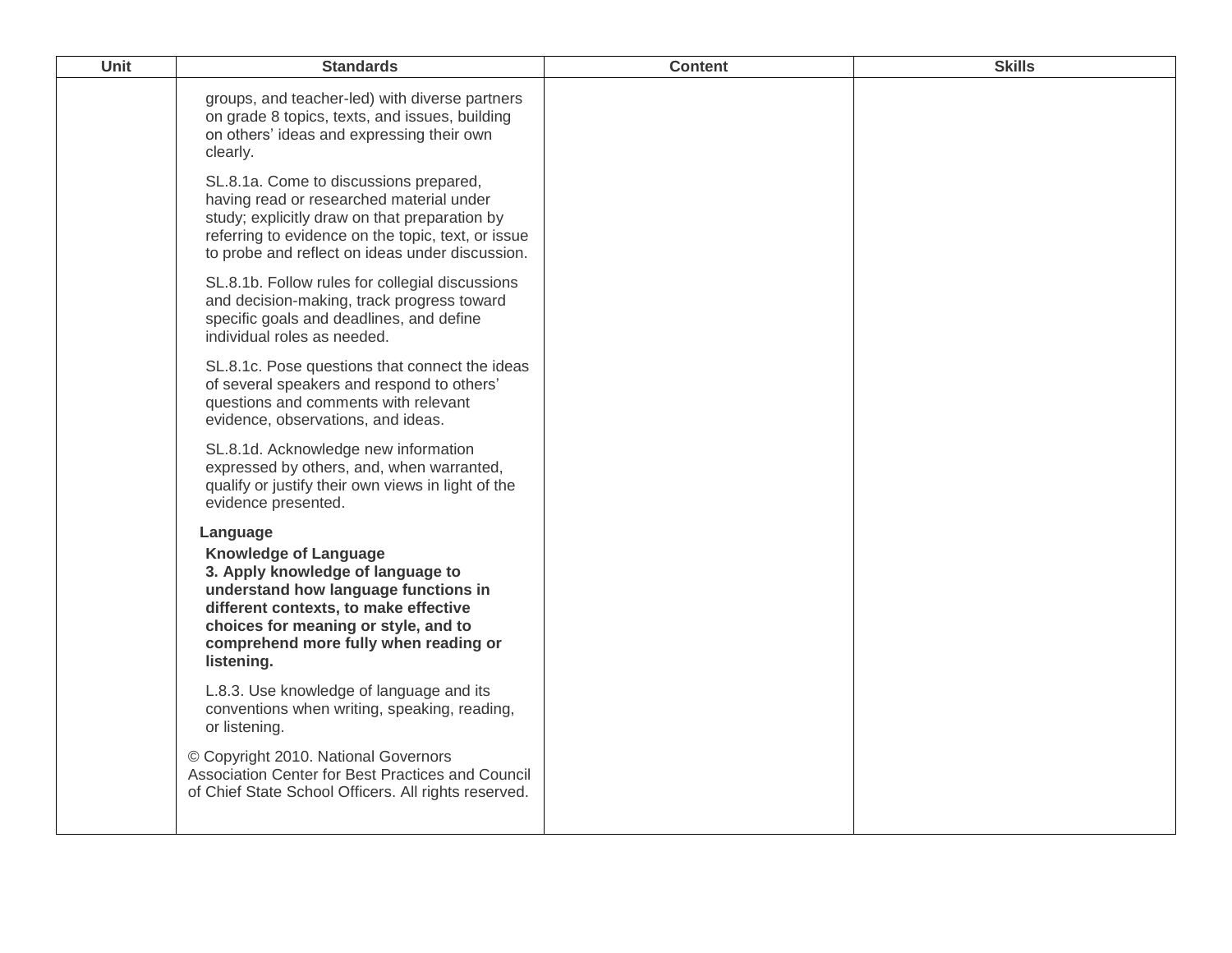| Unit | <b>Standards</b>                                                                                                                                                                                                                                              | <b>Content</b> | <b>Skills</b> |
|------|---------------------------------------------------------------------------------------------------------------------------------------------------------------------------------------------------------------------------------------------------------------|----------------|---------------|
|      | groups, and teacher-led) with diverse partners<br>on grade 8 topics, texts, and issues, building<br>on others' ideas and expressing their own<br>clearly.                                                                                                     |                |               |
|      | SL.8.1a. Come to discussions prepared,<br>having read or researched material under<br>study; explicitly draw on that preparation by<br>referring to evidence on the topic, text, or issue<br>to probe and reflect on ideas under discussion.                  |                |               |
|      | SL.8.1b. Follow rules for collegial discussions<br>and decision-making, track progress toward<br>specific goals and deadlines, and define<br>individual roles as needed.                                                                                      |                |               |
|      | SL.8.1c. Pose questions that connect the ideas<br>of several speakers and respond to others'<br>questions and comments with relevant<br>evidence, observations, and ideas.                                                                                    |                |               |
|      | SL.8.1d. Acknowledge new information<br>expressed by others, and, when warranted,<br>qualify or justify their own views in light of the<br>evidence presented.                                                                                                |                |               |
|      | Language<br><b>Knowledge of Language</b><br>3. Apply knowledge of language to<br>understand how language functions in<br>different contexts, to make effective<br>choices for meaning or style, and to<br>comprehend more fully when reading or<br>listening. |                |               |
|      | L.8.3. Use knowledge of language and its<br>conventions when writing, speaking, reading,<br>or listening.                                                                                                                                                     |                |               |
|      | © Copyright 2010. National Governors<br>Association Center for Best Practices and Council<br>of Chief State School Officers. All rights reserved.                                                                                                             |                |               |
|      |                                                                                                                                                                                                                                                               |                |               |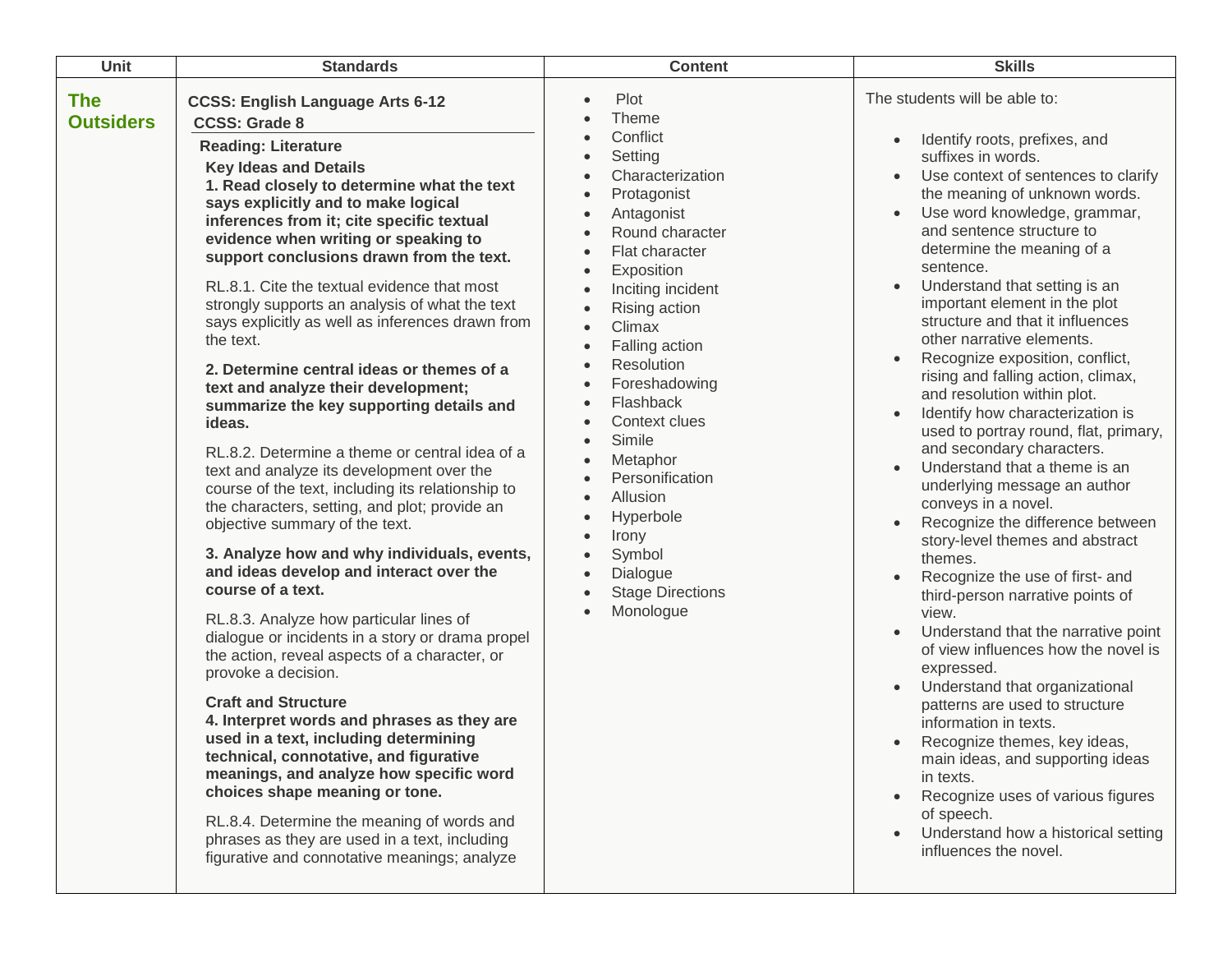| Unit                           | <b>Standards</b>                                                                                                                                                                                                                                                                                                                                                                                                                                                                                                                                                                                                                                                                                                                                                                                                                                                                                                                                                                                                                                                                                                                                                                                                                                                                                                                                                                                                                                                                                                                                                                        | <b>Content</b>                                                                                                                                                                                                                                                                                                                                                                                                                                                                    | <b>Skills</b>                                                                                                                                                                                                                                                                                                                                                                                                                                                                                                                                                                                                                                                                                                                                                                                                                                                                                                                                                                                                                                                                                                                                                                                                                                                                                                           |
|--------------------------------|-----------------------------------------------------------------------------------------------------------------------------------------------------------------------------------------------------------------------------------------------------------------------------------------------------------------------------------------------------------------------------------------------------------------------------------------------------------------------------------------------------------------------------------------------------------------------------------------------------------------------------------------------------------------------------------------------------------------------------------------------------------------------------------------------------------------------------------------------------------------------------------------------------------------------------------------------------------------------------------------------------------------------------------------------------------------------------------------------------------------------------------------------------------------------------------------------------------------------------------------------------------------------------------------------------------------------------------------------------------------------------------------------------------------------------------------------------------------------------------------------------------------------------------------------------------------------------------------|-----------------------------------------------------------------------------------------------------------------------------------------------------------------------------------------------------------------------------------------------------------------------------------------------------------------------------------------------------------------------------------------------------------------------------------------------------------------------------------|-------------------------------------------------------------------------------------------------------------------------------------------------------------------------------------------------------------------------------------------------------------------------------------------------------------------------------------------------------------------------------------------------------------------------------------------------------------------------------------------------------------------------------------------------------------------------------------------------------------------------------------------------------------------------------------------------------------------------------------------------------------------------------------------------------------------------------------------------------------------------------------------------------------------------------------------------------------------------------------------------------------------------------------------------------------------------------------------------------------------------------------------------------------------------------------------------------------------------------------------------------------------------------------------------------------------------|
| <b>The</b><br><b>Outsiders</b> | <b>CCSS: English Language Arts 6-12</b><br><b>CCSS: Grade 8</b><br><b>Reading: Literature</b><br><b>Key Ideas and Details</b><br>1. Read closely to determine what the text<br>says explicitly and to make logical<br>inferences from it; cite specific textual<br>evidence when writing or speaking to<br>support conclusions drawn from the text.<br>RL.8.1. Cite the textual evidence that most<br>strongly supports an analysis of what the text<br>says explicitly as well as inferences drawn from<br>the text.<br>2. Determine central ideas or themes of a<br>text and analyze their development;<br>summarize the key supporting details and<br>ideas.<br>RL.8.2. Determine a theme or central idea of a<br>text and analyze its development over the<br>course of the text, including its relationship to<br>the characters, setting, and plot; provide an<br>objective summary of the text.<br>3. Analyze how and why individuals, events,<br>and ideas develop and interact over the<br>course of a text.<br>RL.8.3. Analyze how particular lines of<br>dialogue or incidents in a story or drama propel<br>the action, reveal aspects of a character, or<br>provoke a decision.<br><b>Craft and Structure</b><br>4. Interpret words and phrases as they are<br>used in a text, including determining<br>technical, connotative, and figurative<br>meanings, and analyze how specific word<br>choices shape meaning or tone.<br>RL.8.4. Determine the meaning of words and<br>phrases as they are used in a text, including<br>figurative and connotative meanings; analyze | Plot<br>Theme<br>Conflict<br>Setting<br>Characterization<br>Protagonist<br>Antagonist<br>Round character<br>Flat character<br>Exposition<br>Inciting incident<br>Rising action<br>Climax<br>$\bullet$<br>Falling action<br>$\bullet$<br>Resolution<br>Foreshadowing<br>Flashback<br>Context clues<br>Simile<br>$\bullet$<br>Metaphor<br>$\bullet$<br>Personification<br>Allusion<br>Hyperbole<br>Irony<br>Symbol<br>$\bullet$<br>Dialogue<br><b>Stage Directions</b><br>Monologue | The students will be able to:<br>Identify roots, prefixes, and<br>suffixes in words.<br>Use context of sentences to clarify<br>$\bullet$<br>the meaning of unknown words.<br>Use word knowledge, grammar,<br>$\bullet$<br>and sentence structure to<br>determine the meaning of a<br>sentence.<br>Understand that setting is an<br>important element in the plot<br>structure and that it influences<br>other narrative elements.<br>Recognize exposition, conflict,<br>rising and falling action, climax,<br>and resolution within plot.<br>Identify how characterization is<br>used to portray round, flat, primary,<br>and secondary characters.<br>Understand that a theme is an<br>$\bullet$<br>underlying message an author<br>conveys in a novel.<br>Recognize the difference between<br>story-level themes and abstract<br>themes.<br>Recognize the use of first- and<br>third-person narrative points of<br>view.<br>Understand that the narrative point<br>of view influences how the novel is<br>expressed.<br>Understand that organizational<br>patterns are used to structure<br>information in texts.<br>Recognize themes, key ideas,<br>main ideas, and supporting ideas<br>in texts.<br>Recognize uses of various figures<br>of speech.<br>Understand how a historical setting<br>influences the novel. |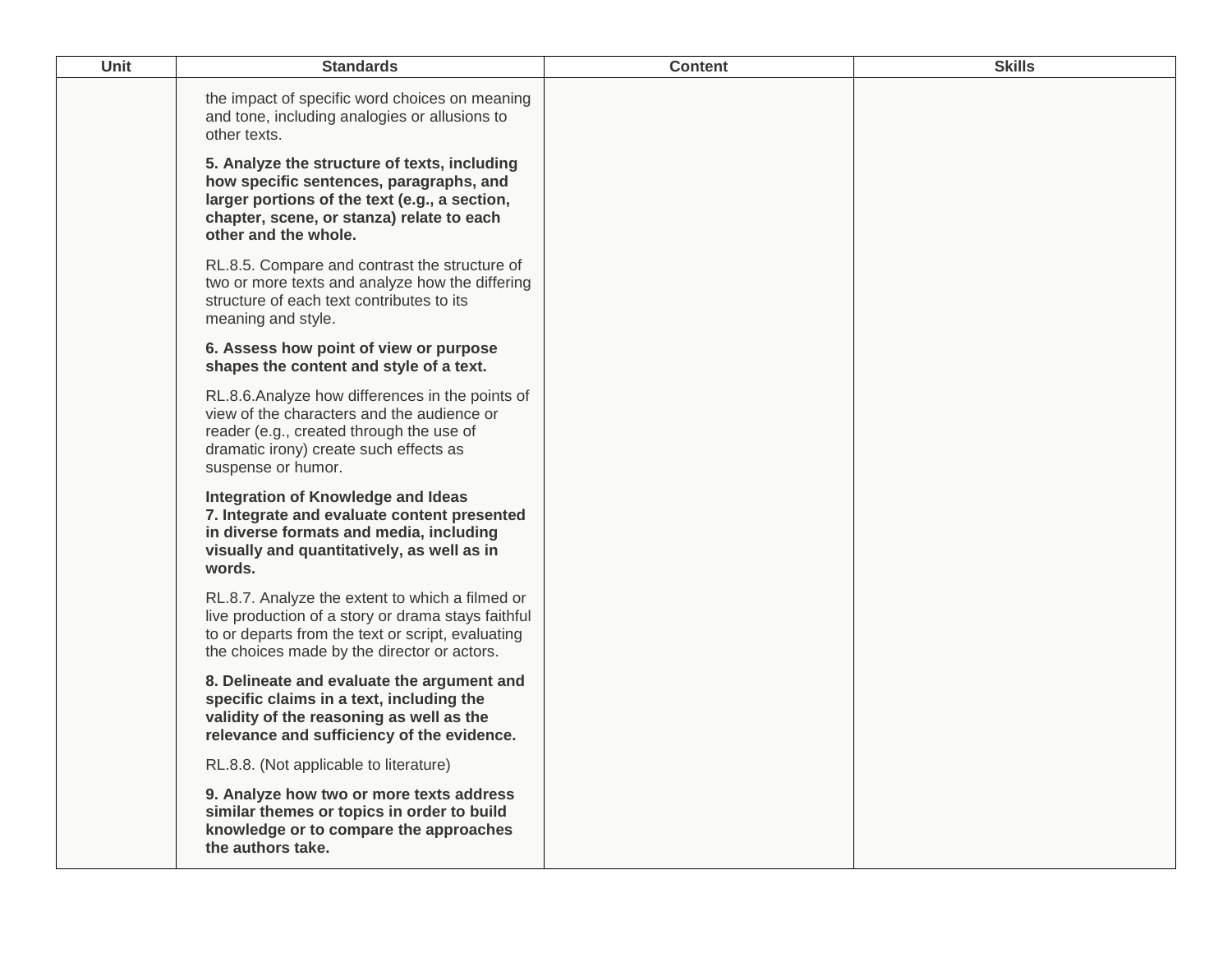| <b>Unit</b> | <b>Standards</b>                                                                                                                                                                                              | <b>Content</b> | <b>Skills</b> |
|-------------|---------------------------------------------------------------------------------------------------------------------------------------------------------------------------------------------------------------|----------------|---------------|
|             | the impact of specific word choices on meaning<br>and tone, including analogies or allusions to<br>other texts.                                                                                               |                |               |
|             | 5. Analyze the structure of texts, including<br>how specific sentences, paragraphs, and<br>larger portions of the text (e.g., a section,<br>chapter, scene, or stanza) relate to each<br>other and the whole. |                |               |
|             | RL.8.5. Compare and contrast the structure of<br>two or more texts and analyze how the differing<br>structure of each text contributes to its<br>meaning and style.                                           |                |               |
|             | 6. Assess how point of view or purpose<br>shapes the content and style of a text.                                                                                                                             |                |               |
|             | RL.8.6. Analyze how differences in the points of<br>view of the characters and the audience or<br>reader (e.g., created through the use of<br>dramatic irony) create such effects as<br>suspense or humor.    |                |               |
|             | Integration of Knowledge and Ideas<br>7. Integrate and evaluate content presented<br>in diverse formats and media, including<br>visually and quantitatively, as well as in<br>words.                          |                |               |
|             | RL.8.7. Analyze the extent to which a filmed or<br>live production of a story or drama stays faithful<br>to or departs from the text or script, evaluating<br>the choices made by the director or actors.     |                |               |
|             | 8. Delineate and evaluate the argument and<br>specific claims in a text, including the<br>validity of the reasoning as well as the<br>relevance and sufficiency of the evidence.                              |                |               |
|             | RL.8.8. (Not applicable to literature)                                                                                                                                                                        |                |               |
|             | 9. Analyze how two or more texts address<br>similar themes or topics in order to build<br>knowledge or to compare the approaches<br>the authors take.                                                         |                |               |
|             |                                                                                                                                                                                                               |                |               |